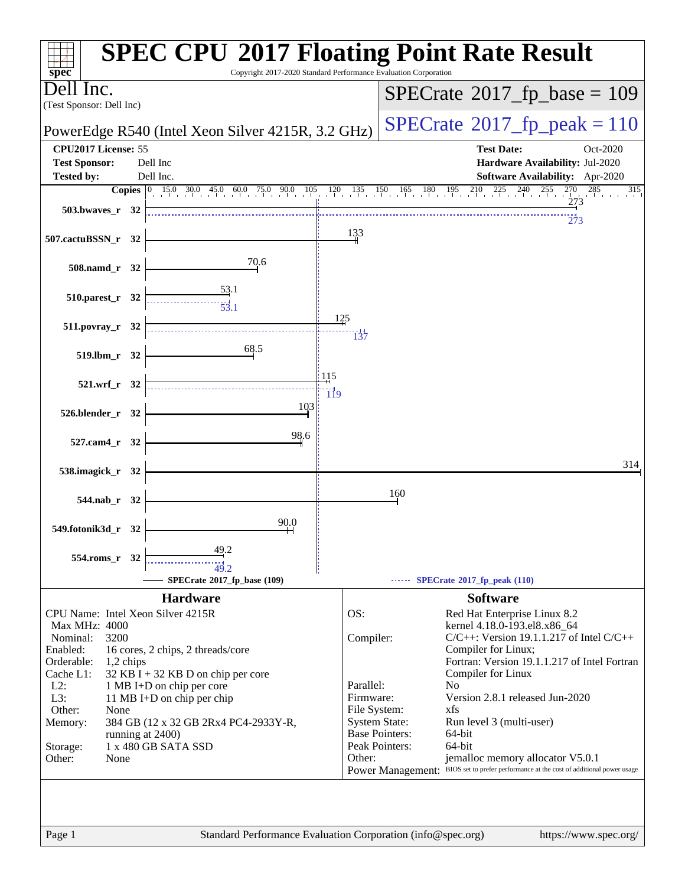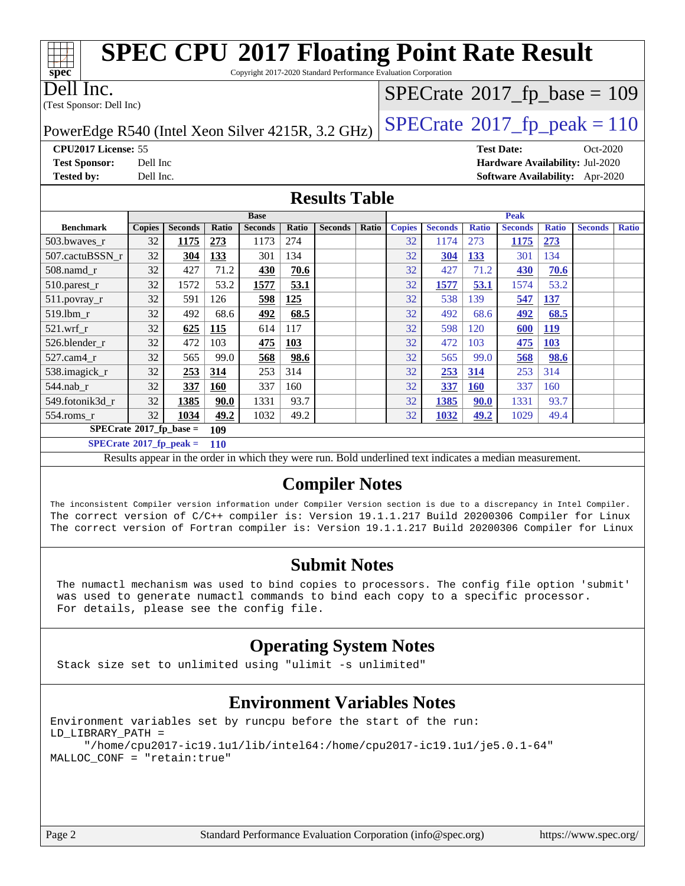| <b>SPEC CPU®2017 Floating Point Rate Result</b><br>Copyright 2017-2020 Standard Performance Evaluation Corporation<br>spec <sup>®</sup> |                                            |                |             |                |                     |                |       |                     |                |              |                   |              |                                 |              |
|-----------------------------------------------------------------------------------------------------------------------------------------|--------------------------------------------|----------------|-------------|----------------|---------------------|----------------|-------|---------------------|----------------|--------------|-------------------|--------------|---------------------------------|--------------|
| Dell Inc.                                                                                                                               | $SPECrate$ <sup>®</sup> 2017_fp_base = 109 |                |             |                |                     |                |       |                     |                |              |                   |              |                                 |              |
| (Test Sponsor: Dell Inc)                                                                                                                |                                            |                |             |                |                     |                |       |                     |                |              |                   |              |                                 |              |
| $SPECrate$ <sup>®</sup> 2017_fp_peak = 110<br>PowerEdge R540 (Intel Xeon Silver 4215R, 3.2 GHz)                                         |                                            |                |             |                |                     |                |       |                     |                |              |                   |              |                                 |              |
| CPU2017 License: 55                                                                                                                     |                                            |                |             |                |                     |                |       |                     |                |              | <b>Test Date:</b> |              | $Oct-2020$                      |              |
| <b>Test Sponsor:</b>                                                                                                                    | Dell Inc                                   |                |             |                |                     |                |       |                     |                |              |                   |              | Hardware Availability: Jul-2020 |              |
| <b>Tested by:</b>                                                                                                                       | Dell Inc.                                  |                |             |                |                     |                |       |                     |                |              |                   |              | Software Availability: Apr-2020 |              |
| <b>Results Table</b>                                                                                                                    |                                            |                |             |                |                     |                |       |                     |                |              |                   |              |                                 |              |
|                                                                                                                                         |                                            |                |             | <b>Base</b>    |                     |                |       |                     |                |              | <b>Peak</b>       |              |                                 |              |
| <b>Benchmark</b>                                                                                                                        | <b>Copies</b>                              | <b>Seconds</b> | Ratio       | <b>Seconds</b> | <b>Ratio</b><br>274 | <b>Seconds</b> | Ratio | <b>Copies</b><br>32 | <b>Seconds</b> | <b>Ratio</b> | <b>Seconds</b>    | <b>Ratio</b> | <b>Seconds</b>                  | <b>Ratio</b> |
| 503.bwaves_r                                                                                                                            | 32<br>32                                   | 1175           | 273<br>133  | 1173<br>301    | 134                 |                |       | 32                  | 1174           | 273          | <b>1175</b>       | 273<br>134   |                                 |              |
| 507.cactuBSSN r                                                                                                                         | 32                                         | 304<br>427     | 71.2        |                |                     |                |       | 32                  | 304<br>427     | 133<br>71.2  | 301               |              |                                 |              |
| 508.namd r                                                                                                                              | 32                                         | 1572           | 53.2        | 430<br>1577    | 70.6<br>53.1        |                |       | 32                  |                | 53.1         | 430<br>1574       | 70.6<br>53.2 |                                 |              |
| 510.parest_r                                                                                                                            | 32                                         | 591            | 126         |                | 125                 |                |       | 32                  | 1577<br>538    | 139          |                   |              |                                 |              |
| 511.povray_r                                                                                                                            | 32                                         | 492            | 68.6        | 598            | 68.5                |                |       | 32                  | 492            | 68.6         | 547               | 137          |                                 |              |
| 519.lbm_r                                                                                                                               |                                            |                |             | 492            |                     |                |       |                     |                |              | 492               | 68.5         |                                 |              |
| 117<br>$521.wrf$ r<br>32<br>625<br>115<br>32<br>120<br>119<br>614<br>598<br>600<br>32                                                   |                                            |                |             |                |                     |                |       |                     |                |              |                   |              |                                 |              |
| 526.blender r<br>527.cam4_r                                                                                                             | 32<br>32                                   | 472<br>565     | 103<br>99.0 | 475<br>568     | <b>103</b><br>98.6  |                |       | 32                  | 472<br>565     | 103<br>99.0  | 475<br>568        | 103<br>98.6  |                                 |              |
| 538.imagick_r                                                                                                                           | 32                                         | 253            | 314         | 253            | 314                 |                |       | 32                  | 253            | 314          | 253               | 314          |                                 |              |
| 544.nab r                                                                                                                               | 32                                         | 337            | <b>160</b>  | 337            | 160                 |                |       | 32                  | 337            | <b>160</b>   | 337               | 160          |                                 |              |
| 549.fotonik3d_r                                                                                                                         | 32                                         | 1385           | 90.0        | 1331           | 93.7                |                |       | 32                  | 1385           | <b>90.0</b>  | 1331              | 93.7         |                                 |              |
| 554.roms_r                                                                                                                              | 32                                         | 1034           | 49.2        | 1032           | 49.2                |                |       | 32                  | 1032           | 49.2         | 1029              | 49.4         |                                 |              |
| $SPECrate^*2017_fp\_base =$                                                                                                             |                                            |                | 109         |                |                     |                |       |                     |                |              |                   |              |                                 |              |

**[SPECrate](http://www.spec.org/auto/cpu2017/Docs/result-fields.html#SPECrate2017fppeak)[2017\\_fp\\_peak =](http://www.spec.org/auto/cpu2017/Docs/result-fields.html#SPECrate2017fppeak) 110**

Results appear in the [order in which they were run.](http://www.spec.org/auto/cpu2017/Docs/result-fields.html#RunOrder) Bold underlined text [indicates a median measurement.](http://www.spec.org/auto/cpu2017/Docs/result-fields.html#Median)

### **[Compiler Notes](http://www.spec.org/auto/cpu2017/Docs/result-fields.html#CompilerNotes)**

The inconsistent Compiler version information under Compiler Version section is due to a discrepancy in Intel Compiler. The correct version of C/C++ compiler is: Version 19.1.1.217 Build 20200306 Compiler for Linux The correct version of Fortran compiler is: Version 19.1.1.217 Build 20200306 Compiler for Linux

### **[Submit Notes](http://www.spec.org/auto/cpu2017/Docs/result-fields.html#SubmitNotes)**

 The numactl mechanism was used to bind copies to processors. The config file option 'submit' was used to generate numactl commands to bind each copy to a specific processor. For details, please see the config file.

### **[Operating System Notes](http://www.spec.org/auto/cpu2017/Docs/result-fields.html#OperatingSystemNotes)**

Stack size set to unlimited using "ulimit -s unlimited"

### **[Environment Variables Notes](http://www.spec.org/auto/cpu2017/Docs/result-fields.html#EnvironmentVariablesNotes)**

Environment variables set by runcpu before the start of the run: LD\_LIBRARY\_PATH = "/home/cpu2017-ic19.1u1/lib/intel64:/home/cpu2017-ic19.1u1/je5.0.1-64" MALLOC\_CONF = "retain:true"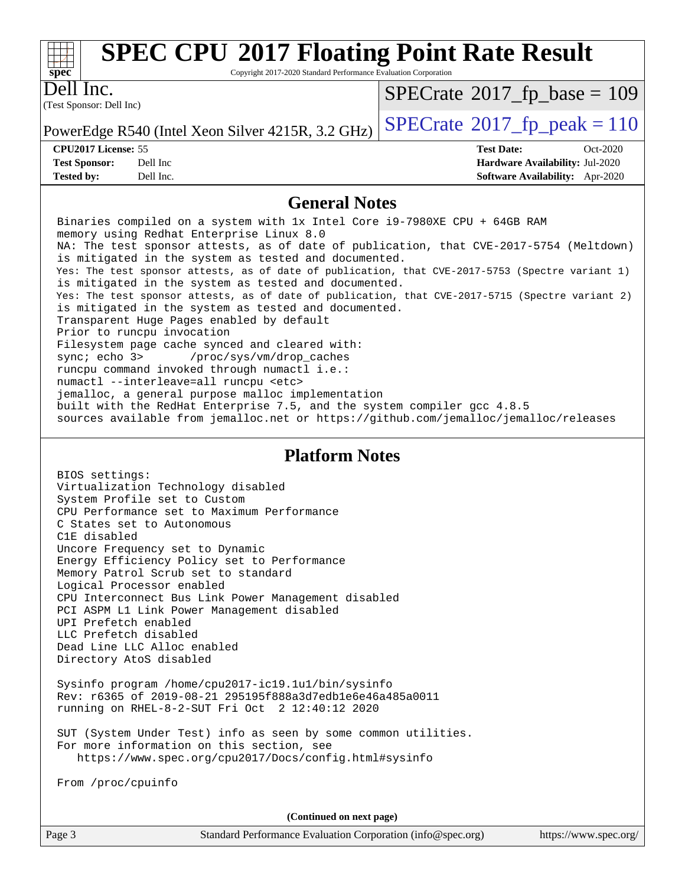

Copyright 2017-2020 Standard Performance Evaluation Corporation

(Test Sponsor: Dell Inc) Dell Inc.

 $SPECTate$ <sup>®</sup>[2017\\_fp\\_base =](http://www.spec.org/auto/cpu2017/Docs/result-fields.html#SPECrate2017fpbase) 109

PowerEdge R540 (Intel Xeon Silver 4215R, 3.2 GHz)  $\left|$  [SPECrate](http://www.spec.org/auto/cpu2017/Docs/result-fields.html#SPECrate2017fppeak)<sup>®</sup>[2017\\_fp\\_peak = 1](http://www.spec.org/auto/cpu2017/Docs/result-fields.html#SPECrate2017fppeak)10

#### **[CPU2017 License:](http://www.spec.org/auto/cpu2017/Docs/result-fields.html#CPU2017License)** 55 **[Test Date:](http://www.spec.org/auto/cpu2017/Docs/result-fields.html#TestDate)** Oct-2020

**[Test Sponsor:](http://www.spec.org/auto/cpu2017/Docs/result-fields.html#TestSponsor)** Dell Inc **[Hardware Availability:](http://www.spec.org/auto/cpu2017/Docs/result-fields.html#HardwareAvailability)** Jul-2020 **[Tested by:](http://www.spec.org/auto/cpu2017/Docs/result-fields.html#Testedby)** Dell Inc. **[Software Availability:](http://www.spec.org/auto/cpu2017/Docs/result-fields.html#SoftwareAvailability)** Apr-2020

#### **[General Notes](http://www.spec.org/auto/cpu2017/Docs/result-fields.html#GeneralNotes)**

 Binaries compiled on a system with 1x Intel Core i9-7980XE CPU + 64GB RAM memory using Redhat Enterprise Linux 8.0 NA: The test sponsor attests, as of date of publication, that CVE-2017-5754 (Meltdown) is mitigated in the system as tested and documented. Yes: The test sponsor attests, as of date of publication, that CVE-2017-5753 (Spectre variant 1) is mitigated in the system as tested and documented. Yes: The test sponsor attests, as of date of publication, that CVE-2017-5715 (Spectre variant 2) is mitigated in the system as tested and documented. Transparent Huge Pages enabled by default Prior to runcpu invocation Filesystem page cache synced and cleared with: sync; echo 3> /proc/sys/vm/drop\_caches runcpu command invoked through numactl i.e.: numactl --interleave=all runcpu <etc> jemalloc, a general purpose malloc implementation built with the RedHat Enterprise 7.5, and the system compiler gcc 4.8.5 sources available from jemalloc.net or<https://github.com/jemalloc/jemalloc/releases>

### **[Platform Notes](http://www.spec.org/auto/cpu2017/Docs/result-fields.html#PlatformNotes)**

 BIOS settings: Virtualization Technology disabled System Profile set to Custom CPU Performance set to Maximum Performance C States set to Autonomous C1E disabled Uncore Frequency set to Dynamic Energy Efficiency Policy set to Performance Memory Patrol Scrub set to standard Logical Processor enabled CPU Interconnect Bus Link Power Management disabled PCI ASPM L1 Link Power Management disabled UPI Prefetch enabled LLC Prefetch disabled Dead Line LLC Alloc enabled Directory AtoS disabled

 Sysinfo program /home/cpu2017-ic19.1u1/bin/sysinfo Rev: r6365 of 2019-08-21 295195f888a3d7edb1e6e46a485a0011 running on RHEL-8-2-SUT Fri Oct 2 12:40:12 2020

 SUT (System Under Test) info as seen by some common utilities. For more information on this section, see <https://www.spec.org/cpu2017/Docs/config.html#sysinfo>

From /proc/cpuinfo

**(Continued on next page)**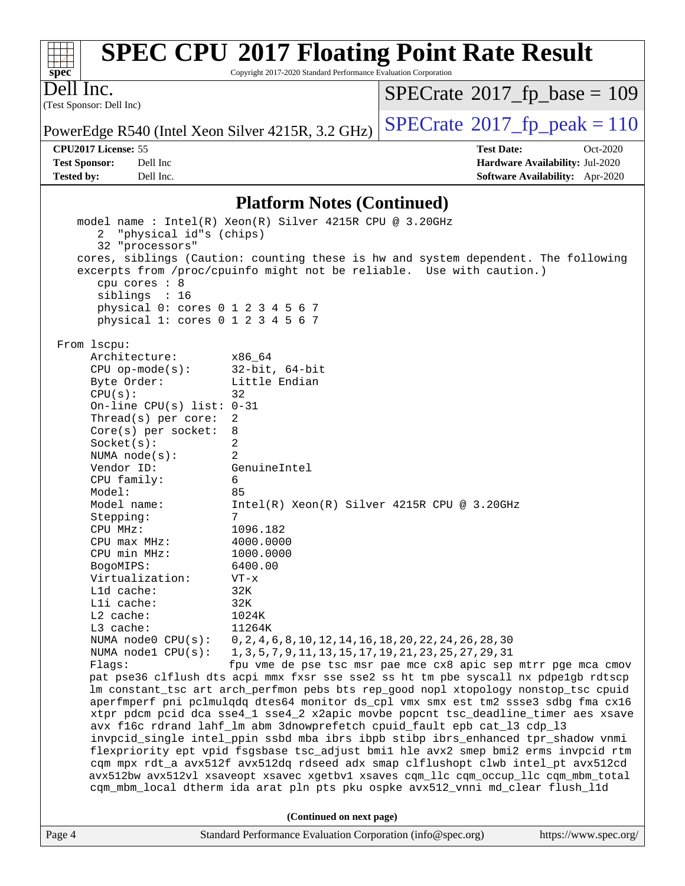| $Spec^*$                                                  | <b>SPEC CPU®2017 Floating Point Rate Result</b><br>Copyright 2017-2020 Standard Performance Evaluation Corporation |  |  |  |  |  |  |
|-----------------------------------------------------------|--------------------------------------------------------------------------------------------------------------------|--|--|--|--|--|--|
| $\overline{\text{Dell Inc.}}$<br>(Test Sponsor: Dell Inc) | $SPECrate^{\circledcirc}2017$ _fp_base = 109                                                                       |  |  |  |  |  |  |
| PowerEdge R540 (Intel Xeon Silver 4215R, 3.2 GHz)         | $SPECrate^{\circ}2017$ _fp_peak = 110                                                                              |  |  |  |  |  |  |
| <b>CPU2017 License: 55</b>                                | <b>Test Date:</b><br>$Oct-2020$                                                                                    |  |  |  |  |  |  |
| <b>Test Sponsor:</b><br>Dell Inc                          | Hardware Availability: Jul-2020                                                                                    |  |  |  |  |  |  |
| <b>Tested by:</b><br>Dell Inc.                            | <b>Software Availability:</b> Apr-2020                                                                             |  |  |  |  |  |  |

## **[Platform Notes \(Continued\)](http://www.spec.org/auto/cpu2017/Docs/result-fields.html#PlatformNotes)**

|                                                                                   | "physical id"s (chips)<br>2<br>32 "processors"                                                           | model name: $Intel(R)$ Xeon(R) Silver 4215R CPU @ 3.20GHz                                                                                                   |  |  |  |  |
|-----------------------------------------------------------------------------------|----------------------------------------------------------------------------------------------------------|-------------------------------------------------------------------------------------------------------------------------------------------------------------|--|--|--|--|
|                                                                                   | cpu cores : 8<br>siblings : 16<br>physical 0: cores 0 1 2 3 4 5 6 7<br>physical 1: cores 0 1 2 3 4 5 6 7 | cores, siblings (Caution: counting these is hw and system dependent. The following<br>excerpts from /proc/cpuinfo might not be reliable. Use with caution.) |  |  |  |  |
|                                                                                   | From 1scpu:                                                                                              |                                                                                                                                                             |  |  |  |  |
|                                                                                   | Architecture:                                                                                            | x86 64                                                                                                                                                      |  |  |  |  |
|                                                                                   | $CPU op-mode(s):$                                                                                        | 32-bit, 64-bit                                                                                                                                              |  |  |  |  |
|                                                                                   | Byte Order:                                                                                              | Little Endian                                                                                                                                               |  |  |  |  |
|                                                                                   | CPU(s):                                                                                                  | 32                                                                                                                                                          |  |  |  |  |
|                                                                                   | On-line CPU(s) list: $0-31$                                                                              |                                                                                                                                                             |  |  |  |  |
|                                                                                   | Thread(s) per core:                                                                                      | 2                                                                                                                                                           |  |  |  |  |
|                                                                                   | Core(s) per socket:                                                                                      | 8                                                                                                                                                           |  |  |  |  |
|                                                                                   | Socket(s):                                                                                               | 2                                                                                                                                                           |  |  |  |  |
|                                                                                   | NUMA $node(s):$                                                                                          | 2                                                                                                                                                           |  |  |  |  |
|                                                                                   | Vendor ID:                                                                                               | GenuineIntel                                                                                                                                                |  |  |  |  |
|                                                                                   | CPU family:                                                                                              | 6                                                                                                                                                           |  |  |  |  |
|                                                                                   | Model:                                                                                                   | 85                                                                                                                                                          |  |  |  |  |
|                                                                                   | Model name:                                                                                              | $Intel(R) Xeon(R) Silver 4215R CPU @ 3.20GHz$                                                                                                               |  |  |  |  |
|                                                                                   | Stepping:                                                                                                | 7                                                                                                                                                           |  |  |  |  |
|                                                                                   | CPU MHz:                                                                                                 | 1096.182                                                                                                                                                    |  |  |  |  |
|                                                                                   | CPU max MHz:                                                                                             | 4000.0000                                                                                                                                                   |  |  |  |  |
|                                                                                   | CPU min MHz:                                                                                             | 1000.0000                                                                                                                                                   |  |  |  |  |
|                                                                                   | BogoMIPS:                                                                                                | 6400.00                                                                                                                                                     |  |  |  |  |
|                                                                                   | Virtualization:<br>L1d cache:                                                                            | $VT - x$<br>32K                                                                                                                                             |  |  |  |  |
|                                                                                   |                                                                                                          |                                                                                                                                                             |  |  |  |  |
|                                                                                   | Lli cache:<br>$L2$ cache:                                                                                | 32K                                                                                                                                                         |  |  |  |  |
|                                                                                   | L3 cache:                                                                                                | 1024K<br>11264K                                                                                                                                             |  |  |  |  |
|                                                                                   | NUMA $node0$ $CPU(s):$                                                                                   | 0, 2, 4, 6, 8, 10, 12, 14, 16, 18, 20, 22, 24, 26, 28, 30                                                                                                   |  |  |  |  |
|                                                                                   | NUMA nodel CPU(s):                                                                                       | 1, 3, 5, 7, 9, 11, 13, 15, 17, 19, 21, 23, 25, 27, 29, 31                                                                                                   |  |  |  |  |
|                                                                                   | Flags:                                                                                                   | fpu vme de pse tsc msr pae mce cx8 apic sep mtrr pge mca cmov                                                                                               |  |  |  |  |
|                                                                                   |                                                                                                          | pat pse36 clflush dts acpi mmx fxsr sse sse2 ss ht tm pbe syscall nx pdpelgb rdtscp                                                                         |  |  |  |  |
|                                                                                   |                                                                                                          | lm constant_tsc art arch_perfmon pebs bts rep_good nopl xtopology nonstop_tsc cpuid                                                                         |  |  |  |  |
|                                                                                   |                                                                                                          | aperfmperf pni pclmulqdq dtes64 monitor ds_cpl vmx smx est tm2 ssse3 sdbg fma cx16                                                                          |  |  |  |  |
| xtpr pdcm pcid dca sse4_1 sse4_2 x2apic movbe popcnt tsc_deadline_timer aes xsave |                                                                                                          |                                                                                                                                                             |  |  |  |  |
|                                                                                   |                                                                                                          | avx f16c rdrand lahf_lm abm 3dnowprefetch cpuid_fault epb cat_13 cdp_13                                                                                     |  |  |  |  |
| invpcid_single intel_ppin ssbd mba ibrs ibpb stibp ibrs_enhanced tpr_shadow vnmi  |                                                                                                          |                                                                                                                                                             |  |  |  |  |
|                                                                                   |                                                                                                          | flexpriority ept vpid fsgsbase tsc_adjust bmil hle avx2 smep bmi2 erms invpcid rtm                                                                          |  |  |  |  |
|                                                                                   |                                                                                                          | cqm mpx rdt_a avx512f avx512dq rdseed adx smap clflushopt clwb intel_pt avx512cd                                                                            |  |  |  |  |
|                                                                                   |                                                                                                          | avx512bw avx512vl xsaveopt xsavec xgetbv1 xsaves cqm_llc cqm_occup_llc cqm_mbm_total                                                                        |  |  |  |  |
|                                                                                   |                                                                                                          | cqm_mbm_local dtherm ida arat pln pts pku ospke avx512_vnni md_clear flush_l1d                                                                              |  |  |  |  |
|                                                                                   |                                                                                                          |                                                                                                                                                             |  |  |  |  |
|                                                                                   |                                                                                                          | (Continued on next page)                                                                                                                                    |  |  |  |  |
| Page 4                                                                            |                                                                                                          | Standard Performance Evaluation Corporation (info@spec.org)<br>https://www.spec.org/                                                                        |  |  |  |  |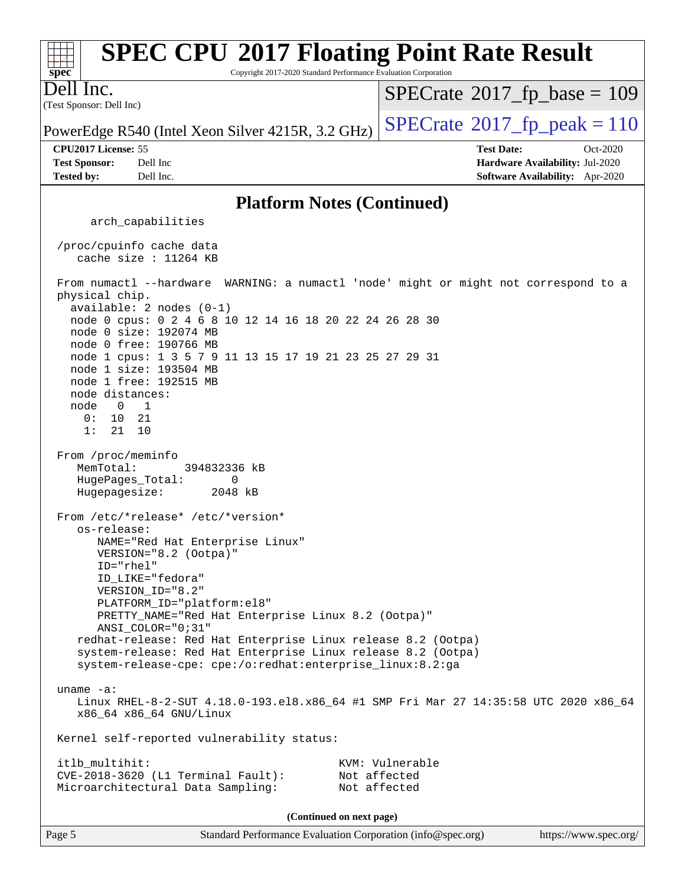#### **[SPEC CPU](http://www.spec.org/auto/cpu2017/Docs/result-fields.html#SPECCPU2017FloatingPointRateResult)[2017 Floating Point Rate Result](http://www.spec.org/auto/cpu2017/Docs/result-fields.html#SPECCPU2017FloatingPointRateResult)**  $+\!+\!$ **[spec](http://www.spec.org/)** Copyright 2017-2020 Standard Performance Evaluation Corporation Dell Inc.  $SPECTate$ <sup>®</sup>[2017\\_fp\\_base =](http://www.spec.org/auto/cpu2017/Docs/result-fields.html#SPECrate2017fpbase) 109 (Test Sponsor: Dell Inc) PowerEdge R540 (Intel Xeon Silver 4215R, 3.2 GHz)  $\left|$  [SPECrate](http://www.spec.org/auto/cpu2017/Docs/result-fields.html#SPECrate2017fppeak)<sup>®</sup>[2017\\_fp\\_peak = 1](http://www.spec.org/auto/cpu2017/Docs/result-fields.html#SPECrate2017fppeak)10 **[CPU2017 License:](http://www.spec.org/auto/cpu2017/Docs/result-fields.html#CPU2017License)** 55 **[Test Date:](http://www.spec.org/auto/cpu2017/Docs/result-fields.html#TestDate)** Oct-2020 **[Test Sponsor:](http://www.spec.org/auto/cpu2017/Docs/result-fields.html#TestSponsor)** Dell Inc **[Hardware Availability:](http://www.spec.org/auto/cpu2017/Docs/result-fields.html#HardwareAvailability)** Jul-2020 **[Tested by:](http://www.spec.org/auto/cpu2017/Docs/result-fields.html#Testedby)** Dell Inc. **[Software Availability:](http://www.spec.org/auto/cpu2017/Docs/result-fields.html#SoftwareAvailability)** Apr-2020 **[Platform Notes \(Continued\)](http://www.spec.org/auto/cpu2017/Docs/result-fields.html#PlatformNotes)** arch\_capabilities /proc/cpuinfo cache data cache size : 11264 KB From numactl --hardware WARNING: a numactl 'node' might or might not correspond to a physical chip. available: 2 nodes (0-1) node 0 cpus: 0 2 4 6 8 10 12 14 16 18 20 22 24 26 28 30 node 0 size: 192074 MB node 0 free: 190766 MB node 1 cpus: 1 3 5 7 9 11 13 15 17 19 21 23 25 27 29 31 node 1 size: 193504 MB node 1 free: 192515 MB node distances: node 0 1 0: 10 21 1: 21 10 From /proc/meminfo MemTotal: 394832336 kB HugePages\_Total: 0 Hugepagesize: 2048 kB From /etc/\*release\* /etc/\*version\* os-release: NAME="Red Hat Enterprise Linux" VERSION="8.2 (Ootpa)" ID="rhel" ID\_LIKE="fedora" VERSION\_ID="8.2" PLATFORM\_ID="platform:el8" PRETTY\_NAME="Red Hat Enterprise Linux 8.2 (Ootpa)" ANSI\_COLOR="0;31" redhat-release: Red Hat Enterprise Linux release 8.2 (Ootpa) system-release: Red Hat Enterprise Linux release 8.2 (Ootpa) system-release-cpe: cpe:/o:redhat:enterprise\_linux:8.2:ga uname -a: Linux RHEL-8-2-SUT 4.18.0-193.el8.x86\_64 #1 SMP Fri Mar 27 14:35:58 UTC 2020 x86\_64 x86\_64 x86\_64 GNU/Linux Kernel self-reported vulnerability status: itlb\_multihit: KVM: Vulnerable CVE-2018-3620 (L1 Terminal Fault): Not affected Microarchitectural Data Sampling: Not affected **(Continued on next page)**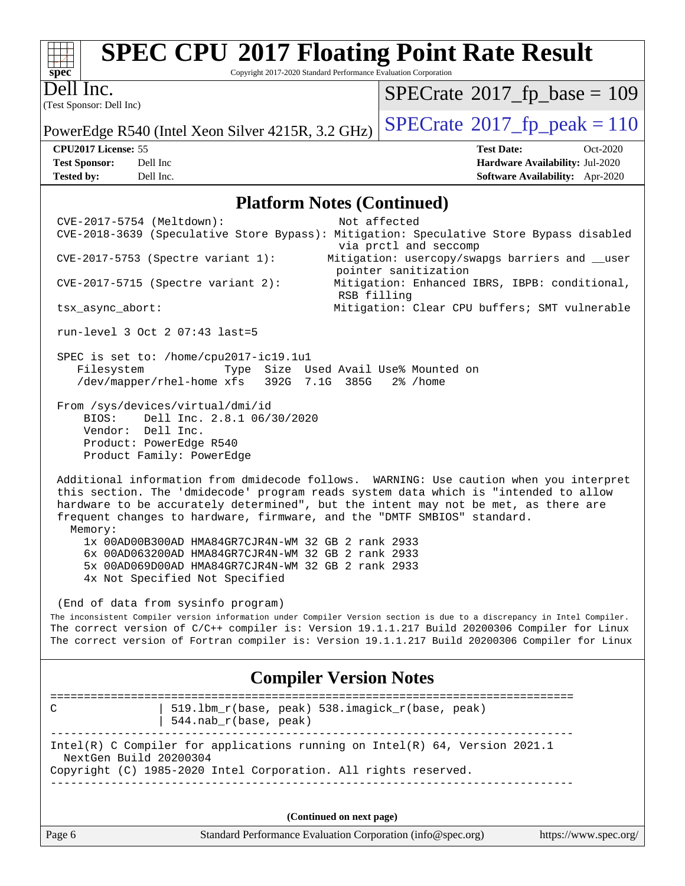

Copyright 2017-2020 Standard Performance Evaluation Corporation

(Test Sponsor: Dell Inc) Dell Inc.

 $SPECTate$ <sup>®</sup>[2017\\_fp\\_base =](http://www.spec.org/auto/cpu2017/Docs/result-fields.html#SPECrate2017fpbase) 109

PowerEdge R540 (Intel Xeon Silver 4215R, 3.2 GHz)  $\vert$  [SPECrate](http://www.spec.org/auto/cpu2017/Docs/result-fields.html#SPECrate2017fppeak)<sup>®</sup>[2017\\_fp\\_peak = 1](http://www.spec.org/auto/cpu2017/Docs/result-fields.html#SPECrate2017fppeak)10

**[Tested by:](http://www.spec.org/auto/cpu2017/Docs/result-fields.html#Testedby)** Dell Inc. **[Software Availability:](http://www.spec.org/auto/cpu2017/Docs/result-fields.html#SoftwareAvailability)** Apr-2020

**[CPU2017 License:](http://www.spec.org/auto/cpu2017/Docs/result-fields.html#CPU2017License)** 55 **[Test Date:](http://www.spec.org/auto/cpu2017/Docs/result-fields.html#TestDate)** Oct-2020 **[Test Sponsor:](http://www.spec.org/auto/cpu2017/Docs/result-fields.html#TestSponsor)** Dell Inc **[Hardware Availability:](http://www.spec.org/auto/cpu2017/Docs/result-fields.html#HardwareAvailability)** Jul-2020

#### **[Platform Notes \(Continued\)](http://www.spec.org/auto/cpu2017/Docs/result-fields.html#PlatformNotes)**

 CVE-2017-5754 (Meltdown): Not affected CVE-2018-3639 (Speculative Store Bypass): Mitigation: Speculative Store Bypass disabled via prctl and seccomp CVE-2017-5753 (Spectre variant 1): Mitigation: usercopy/swapgs barriers and \_\_user pointer sanitization CVE-2017-5715 (Spectre variant 2): Mitigation: Enhanced IBRS, IBPB: conditional, RSB filling tsx\_async\_abort: Mitigation: Clear CPU buffers; SMT vulnerable run-level 3 Oct 2 07:43 last=5 SPEC is set to: /home/cpu2017-ic19.1u1 Filesystem Type Size Used Avail Use% Mounted on /dev/mapper/rhel-home xfs 392G 7.1G 385G 2% /home From /sys/devices/virtual/dmi/id BIOS: Dell Inc. 2.8.1 06/30/2020 Vendor: Dell Inc. Product: PowerEdge R540 Product Family: PowerEdge Additional information from dmidecode follows. WARNING: Use caution when you interpret this section. The 'dmidecode' program reads system data which is "intended to allow hardware to be accurately determined", but the intent may not be met, as there are frequent changes to hardware, firmware, and the "DMTF SMBIOS" standard. Memory: 1x 00AD00B300AD HMA84GR7CJR4N-WM 32 GB 2 rank 2933 6x 00AD063200AD HMA84GR7CJR4N-WM 32 GB 2 rank 2933 5x 00AD069D00AD HMA84GR7CJR4N-WM 32 GB 2 rank 2933 4x Not Specified Not Specified (End of data from sysinfo program) The inconsistent Compiler version information under Compiler Version section is due to a discrepancy in Intel Compiler. The correct version of C/C++ compiler is: Version 19.1.1.217 Build 20200306 Compiler for Linux The correct version of Fortran compiler is: Version 19.1.1.217 Build 20200306 Compiler for Linux **[Compiler Version Notes](http://www.spec.org/auto/cpu2017/Docs/result-fields.html#CompilerVersionNotes)** ============================================================================== C | 519.1bm\_r(base, peak) 538.imagick\_r(base, peak) | 544.nab\_r(base, peak) ------------------------------------------------------------------------------ Intel(R) C Compiler for applications running on Intel(R) 64, Version 2021.1 NextGen Build 20200304 Copyright (C) 1985-2020 Intel Corporation. All rights reserved. ------------------------------------------------------------------------------ **(Continued on next page)**

| Page 6 | Standard Performance Evaluation Corporation (info@spec.org) | https://www.spec.org/ |
|--------|-------------------------------------------------------------|-----------------------|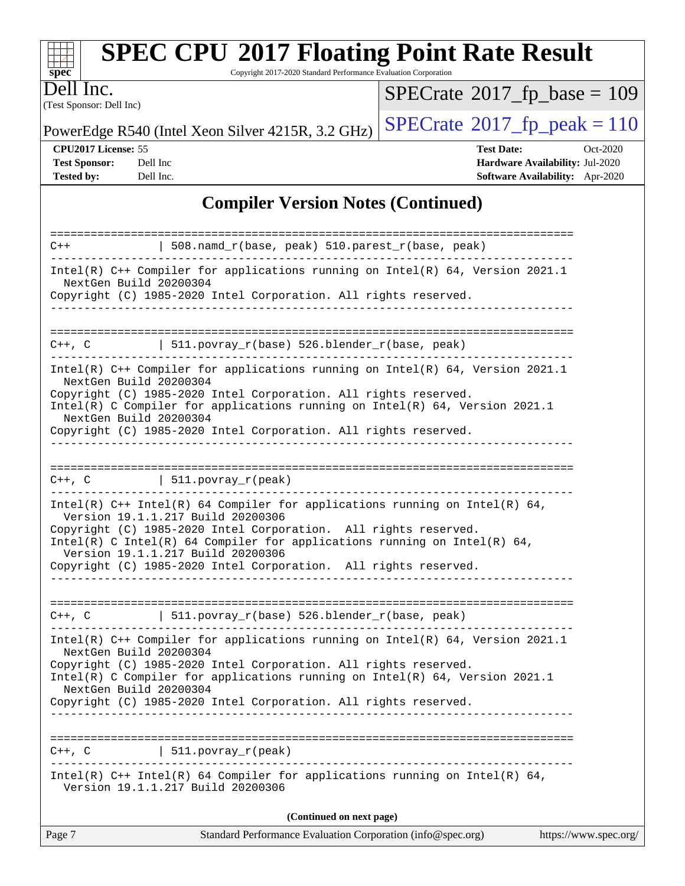| s<br>I<br>E<br>0<br>L.<br>÷ |  |  |  |  |  |
|-----------------------------|--|--|--|--|--|

Copyright 2017-2020 Standard Performance Evaluation Corporation

(Test Sponsor: Dell Inc) Dell Inc.

 $SPECrate$ <sup>®</sup>[2017\\_fp\\_base =](http://www.spec.org/auto/cpu2017/Docs/result-fields.html#SPECrate2017fpbase) 109

PowerEdge R540 (Intel Xeon Silver 4215R, 3.2 GHz)  $\left|$  [SPECrate](http://www.spec.org/auto/cpu2017/Docs/result-fields.html#SPECrate2017fppeak)®[2017\\_fp\\_peak = 1](http://www.spec.org/auto/cpu2017/Docs/result-fields.html#SPECrate2017fppeak)10

**[CPU2017 License:](http://www.spec.org/auto/cpu2017/Docs/result-fields.html#CPU2017License)** 55 **[Test Date:](http://www.spec.org/auto/cpu2017/Docs/result-fields.html#TestDate)** Oct-2020 **[Test Sponsor:](http://www.spec.org/auto/cpu2017/Docs/result-fields.html#TestSponsor)** Dell Inc **[Hardware Availability:](http://www.spec.org/auto/cpu2017/Docs/result-fields.html#HardwareAvailability)** Jul-2020 **[Tested by:](http://www.spec.org/auto/cpu2017/Docs/result-fields.html#Testedby)** Dell Inc. **[Software Availability:](http://www.spec.org/auto/cpu2017/Docs/result-fields.html#SoftwareAvailability)** Apr-2020

### **[Compiler Version Notes \(Continued\)](http://www.spec.org/auto/cpu2017/Docs/result-fields.html#CompilerVersionNotes)**

| Intel(R) $C++$ Compiler for applications running on Intel(R) 64, Version 2021.1<br>NextGen Build 20200304<br>Copyright (C) 1985-2020 Intel Corporation. All rights reserved.<br>C++, C $  511.povray_r(base) 526.blender_r(base, peak)$<br>Intel(R) $C++$ Compiler for applications running on Intel(R) 64, Version 2021.1<br>NextGen Build 20200304<br>Copyright (C) 1985-2020 Intel Corporation. All rights reserved.<br>Intel(R) C Compiler for applications running on Intel(R) $64$ , Version 2021.1<br>NextGen Build 20200304<br>Copyright (C) 1985-2020 Intel Corporation. All rights reserved.<br>$C++$ , C $\qquad \qquad \vert$ 511.povray_r(peak)<br>---------------------------------<br>Intel(R) $C++$ Intel(R) 64 Compiler for applications running on Intel(R) 64,<br>Version 19.1.1.217 Build 20200306<br>Copyright (C) 1985-2020 Intel Corporation. All rights reserved.<br>Intel(R) C Intel(R) 64 Compiler for applications running on Intel(R) 64,<br>Version 19.1.1.217 Build 20200306<br>Copyright (C) 1985-2020 Intel Corporation. All rights reserved.<br>C++, C $\vert$ 511.povray_r(base) 526.blender_r(base, peak)<br>Intel(R) $C++$ Compiler for applications running on Intel(R) 64, Version 2021.1<br>NextGen Build 20200304<br>Copyright (C) 1985-2020 Intel Corporation. All rights reserved.<br>Intel(R) C Compiler for applications running on Intel(R) 64, Version 2021.1<br>NextGen Build 20200304<br>Copyright (C) 1985-2020 Intel Corporation. All rights reserved.<br>$ $ 511. povray_r(peak)<br>C++, C<br>Intel(R) $C++$ Intel(R) 64 Compiler for applications running on Intel(R) 64,<br>Version 19.1.1.217 Build 20200306<br>(Continued on next page) | Page 7 | Standard Performance Evaluation Corporation (info@spec.org) | https://www.spec.org/ |
|------------------------------------------------------------------------------------------------------------------------------------------------------------------------------------------------------------------------------------------------------------------------------------------------------------------------------------------------------------------------------------------------------------------------------------------------------------------------------------------------------------------------------------------------------------------------------------------------------------------------------------------------------------------------------------------------------------------------------------------------------------------------------------------------------------------------------------------------------------------------------------------------------------------------------------------------------------------------------------------------------------------------------------------------------------------------------------------------------------------------------------------------------------------------------------------------------------------------------------------------------------------------------------------------------------------------------------------------------------------------------------------------------------------------------------------------------------------------------------------------------------------------------------------------------------------------------------------------------------------------------------------------------------------------------------------------|--------|-------------------------------------------------------------|-----------------------|
|                                                                                                                                                                                                                                                                                                                                                                                                                                                                                                                                                                                                                                                                                                                                                                                                                                                                                                                                                                                                                                                                                                                                                                                                                                                                                                                                                                                                                                                                                                                                                                                                                                                                                                |        |                                                             |                       |
|                                                                                                                                                                                                                                                                                                                                                                                                                                                                                                                                                                                                                                                                                                                                                                                                                                                                                                                                                                                                                                                                                                                                                                                                                                                                                                                                                                                                                                                                                                                                                                                                                                                                                                |        |                                                             |                       |
|                                                                                                                                                                                                                                                                                                                                                                                                                                                                                                                                                                                                                                                                                                                                                                                                                                                                                                                                                                                                                                                                                                                                                                                                                                                                                                                                                                                                                                                                                                                                                                                                                                                                                                |        |                                                             |                       |
|                                                                                                                                                                                                                                                                                                                                                                                                                                                                                                                                                                                                                                                                                                                                                                                                                                                                                                                                                                                                                                                                                                                                                                                                                                                                                                                                                                                                                                                                                                                                                                                                                                                                                                |        |                                                             |                       |
|                                                                                                                                                                                                                                                                                                                                                                                                                                                                                                                                                                                                                                                                                                                                                                                                                                                                                                                                                                                                                                                                                                                                                                                                                                                                                                                                                                                                                                                                                                                                                                                                                                                                                                |        |                                                             |                       |
|                                                                                                                                                                                                                                                                                                                                                                                                                                                                                                                                                                                                                                                                                                                                                                                                                                                                                                                                                                                                                                                                                                                                                                                                                                                                                                                                                                                                                                                                                                                                                                                                                                                                                                |        |                                                             |                       |
|                                                                                                                                                                                                                                                                                                                                                                                                                                                                                                                                                                                                                                                                                                                                                                                                                                                                                                                                                                                                                                                                                                                                                                                                                                                                                                                                                                                                                                                                                                                                                                                                                                                                                                |        |                                                             |                       |
|                                                                                                                                                                                                                                                                                                                                                                                                                                                                                                                                                                                                                                                                                                                                                                                                                                                                                                                                                                                                                                                                                                                                                                                                                                                                                                                                                                                                                                                                                                                                                                                                                                                                                                |        |                                                             |                       |
|                                                                                                                                                                                                                                                                                                                                                                                                                                                                                                                                                                                                                                                                                                                                                                                                                                                                                                                                                                                                                                                                                                                                                                                                                                                                                                                                                                                                                                                                                                                                                                                                                                                                                                |        |                                                             |                       |
|                                                                                                                                                                                                                                                                                                                                                                                                                                                                                                                                                                                                                                                                                                                                                                                                                                                                                                                                                                                                                                                                                                                                                                                                                                                                                                                                                                                                                                                                                                                                                                                                                                                                                                |        |                                                             |                       |
|                                                                                                                                                                                                                                                                                                                                                                                                                                                                                                                                                                                                                                                                                                                                                                                                                                                                                                                                                                                                                                                                                                                                                                                                                                                                                                                                                                                                                                                                                                                                                                                                                                                                                                |        |                                                             |                       |
|                                                                                                                                                                                                                                                                                                                                                                                                                                                                                                                                                                                                                                                                                                                                                                                                                                                                                                                                                                                                                                                                                                                                                                                                                                                                                                                                                                                                                                                                                                                                                                                                                                                                                                |        |                                                             |                       |
|                                                                                                                                                                                                                                                                                                                                                                                                                                                                                                                                                                                                                                                                                                                                                                                                                                                                                                                                                                                                                                                                                                                                                                                                                                                                                                                                                                                                                                                                                                                                                                                                                                                                                                | $C++$  | 508.namd_r(base, peak) 510.parest_r(base, peak)             |                       |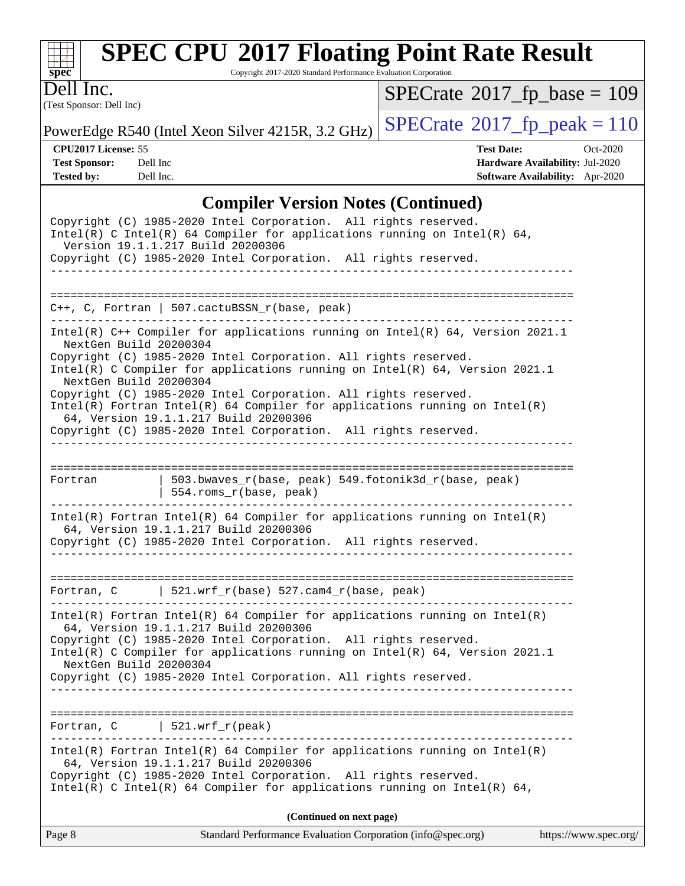

Copyright 2017-2020 Standard Performance Evaluation Corporation

(Test Sponsor: Dell Inc) Dell Inc.

 $SPECrate$ <sup>®</sup>[2017\\_fp\\_base =](http://www.spec.org/auto/cpu2017/Docs/result-fields.html#SPECrate2017fpbase) 109

PowerEdge R540 (Intel Xeon Silver 4215R, 3.2 GHz)  $\left|$  [SPECrate](http://www.spec.org/auto/cpu2017/Docs/result-fields.html#SPECrate2017fppeak)®[2017\\_fp\\_peak = 1](http://www.spec.org/auto/cpu2017/Docs/result-fields.html#SPECrate2017fppeak)10

**[CPU2017 License:](http://www.spec.org/auto/cpu2017/Docs/result-fields.html#CPU2017License)** 55 **[Test Date:](http://www.spec.org/auto/cpu2017/Docs/result-fields.html#TestDate)** Oct-2020 **[Test Sponsor:](http://www.spec.org/auto/cpu2017/Docs/result-fields.html#TestSponsor)** Dell Inc **[Hardware Availability:](http://www.spec.org/auto/cpu2017/Docs/result-fields.html#HardwareAvailability)** Jul-2020 **[Tested by:](http://www.spec.org/auto/cpu2017/Docs/result-fields.html#Testedby)** Dell Inc. **[Software Availability:](http://www.spec.org/auto/cpu2017/Docs/result-fields.html#SoftwareAvailability)** Apr-2020

### **[Compiler Version Notes \(Continued\)](http://www.spec.org/auto/cpu2017/Docs/result-fields.html#CompilerVersionNotes)**

| Standard Performance Evaluation Corporation (info@spec.org)<br>Page 8<br>https://www.spec.org/                                                                                                                                                                                                                                                                                                                                                                                                                                                                           |
|--------------------------------------------------------------------------------------------------------------------------------------------------------------------------------------------------------------------------------------------------------------------------------------------------------------------------------------------------------------------------------------------------------------------------------------------------------------------------------------------------------------------------------------------------------------------------|
| (Continued on next page)                                                                                                                                                                                                                                                                                                                                                                                                                                                                                                                                                 |
| $Intel(R)$ Fortran Intel(R) 64 Compiler for applications running on Intel(R)<br>64, Version 19.1.1.217 Build 20200306<br>Copyright (C) 1985-2020 Intel Corporation. All rights reserved.<br>$Intel(R)$ C Intel(R) 64 Compiler for applications running on Intel(R) 64,                                                                                                                                                                                                                                                                                                   |
| Fortran, $C$   521.wrf_r(peak)                                                                                                                                                                                                                                                                                                                                                                                                                                                                                                                                           |
| $Intel(R)$ Fortran Intel(R) 64 Compiler for applications running on Intel(R)<br>64, Version 19.1.1.217 Build 20200306<br>Copyright (C) 1985-2020 Intel Corporation. All rights reserved.<br>Intel(R) C Compiler for applications running on Intel(R) 64, Version 2021.1<br>NextGen Build 20200304<br>Copyright (C) 1985-2020 Intel Corporation. All rights reserved.                                                                                                                                                                                                     |
| Fortran, $C$   521.wrf_r(base) 527.cam4_r(base, peak)                                                                                                                                                                                                                                                                                                                                                                                                                                                                                                                    |
| $Intel(R)$ Fortran Intel(R) 64 Compiler for applications running on Intel(R)<br>64, Version 19.1.1.217 Build 20200306<br>Copyright (C) 1985-2020 Intel Corporation. All rights reserved.<br>______________________________                                                                                                                                                                                                                                                                                                                                               |
| 503.bwaves_r(base, peak) 549.fotonik3d_r(base, peak)<br>Fortran<br>554.roms_r(base, peak)                                                                                                                                                                                                                                                                                                                                                                                                                                                                                |
| Intel(R) C++ Compiler for applications running on Intel(R) 64, Version 2021.1<br>NextGen Build 20200304<br>Copyright (C) 1985-2020 Intel Corporation. All rights reserved.<br>Intel(R) C Compiler for applications running on Intel(R) 64, Version 2021.1<br>NextGen Build 20200304<br>Copyright (C) 1985-2020 Intel Corporation. All rights reserved.<br>$Intel(R)$ Fortran Intel(R) 64 Compiler for applications running on Intel(R)<br>64, Version 19.1.1.217 Build 20200306<br>Copyright (C) 1985-2020 Intel Corporation. All rights reserved.<br>__________________ |
| $C++$ , C, Fortran   507.cactuBSSN_r(base, peak)                                                                                                                                                                                                                                                                                                                                                                                                                                                                                                                         |
| ------------------                                                                                                                                                                                                                                                                                                                                                                                                                                                                                                                                                       |
| Copyright (C) 1985-2020 Intel Corporation. All rights reserved.<br>$Intel(R)$ C Intel(R) 64 Compiler for applications running on Intel(R) 64,<br>Version 19.1.1.217 Build 20200306<br>Copyright (C) 1985-2020 Intel Corporation. All rights reserved.                                                                                                                                                                                                                                                                                                                    |
|                                                                                                                                                                                                                                                                                                                                                                                                                                                                                                                                                                          |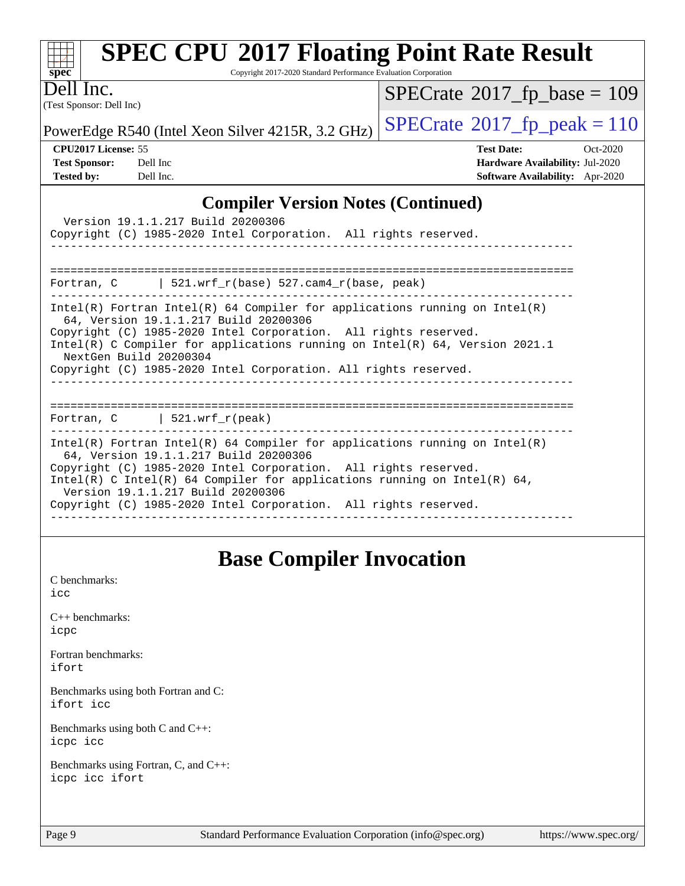| <b>SPEC CPU®2017 Floating Point Rate Result</b>                                                                                                                                                                                                                                                                                                                      |                                                                                                       |
|----------------------------------------------------------------------------------------------------------------------------------------------------------------------------------------------------------------------------------------------------------------------------------------------------------------------------------------------------------------------|-------------------------------------------------------------------------------------------------------|
| Copyright 2017-2020 Standard Performance Evaluation Corporation<br>$Spec^*$                                                                                                                                                                                                                                                                                          |                                                                                                       |
| Dell Inc.<br>(Test Sponsor: Dell Inc)                                                                                                                                                                                                                                                                                                                                | $SPECTate$ <sup>®</sup> 2017_fp_base = 109                                                            |
| PowerEdge R540 (Intel Xeon Silver 4215R, 3.2 GHz)                                                                                                                                                                                                                                                                                                                    | $SPECTate@2017fr peak = 110$                                                                          |
| CPU2017 License: 55<br><b>Test Sponsor:</b><br>Dell Inc<br><b>Tested by:</b><br>Dell Inc.                                                                                                                                                                                                                                                                            | <b>Test Date:</b><br>$Oct-2020$<br>Hardware Availability: Jul-2020<br>Software Availability: Apr-2020 |
| <b>Compiler Version Notes (Continued)</b><br>Version 19.1.1.217 Build 20200306<br>Copyright (C) 1985-2020 Intel Corporation. All rights reserved.<br>Fortran, C $\vert$ 521.wrf_r(base) 527.cam4_r(base, peak)                                                                                                                                                       | --------------------------                                                                            |
| $Intel(R)$ Fortran Intel(R) 64 Compiler for applications running on Intel(R)<br>64, Version 19.1.1.217 Build 20200306<br>Copyright (C) 1985-2020 Intel Corporation. All rights reserved.<br>Intel(R) C Compiler for applications running on Intel(R) 64, Version 2021.1<br>NextGen Build 20200304<br>Copyright (C) 1985-2020 Intel Corporation. All rights reserved. |                                                                                                       |
| =================<br>Fortran, $C$   521.wrf $r(\text{peak})$<br>$Tn+1/D$ $Ron$ $Tn+1/D$ $A$ $Cnmin$ $Ion$ $fon$ $nonline$ $mmin1$ $m$ $mmin2$ $Cn$ $Tn+1/D$                                                                                                                                                                                                          |                                                                                                       |

| Intel(R) Fortran Intel(R) 64 Compiler for applications running on Intel(R) |
|----------------------------------------------------------------------------|
| 64. Version 19.1.1.217 Build 20200306                                      |
| Copyright (C) 1985-2020 Intel Corporation. All rights reserved.            |
| Intel(R) C Intel(R) 64 Compiler for applications running on Intel(R) 64,   |
| Version 19.1.1.217 Build 20200306                                          |
| Copyright (C) 1985-2020 Intel Corporation. All rights reserved.            |

------------------------------------------------------------------------------

# **[Base Compiler Invocation](http://www.spec.org/auto/cpu2017/Docs/result-fields.html#BaseCompilerInvocation)**

[C benchmarks](http://www.spec.org/auto/cpu2017/Docs/result-fields.html#Cbenchmarks): [icc](http://www.spec.org/cpu2017/results/res2020q4/cpu2017-20201020-24224.flags.html#user_CCbase_intel_icc_66fc1ee009f7361af1fbd72ca7dcefbb700085f36577c54f309893dd4ec40d12360134090235512931783d35fd58c0460139e722d5067c5574d8eaf2b3e37e92) [C++ benchmarks:](http://www.spec.org/auto/cpu2017/Docs/result-fields.html#CXXbenchmarks) [icpc](http://www.spec.org/cpu2017/results/res2020q4/cpu2017-20201020-24224.flags.html#user_CXXbase_intel_icpc_c510b6838c7f56d33e37e94d029a35b4a7bccf4766a728ee175e80a419847e808290a9b78be685c44ab727ea267ec2f070ec5dc83b407c0218cded6866a35d07)

[Fortran benchmarks](http://www.spec.org/auto/cpu2017/Docs/result-fields.html#Fortranbenchmarks): [ifort](http://www.spec.org/cpu2017/results/res2020q4/cpu2017-20201020-24224.flags.html#user_FCbase_intel_ifort_8111460550e3ca792625aed983ce982f94888b8b503583aa7ba2b8303487b4d8a21a13e7191a45c5fd58ff318f48f9492884d4413fa793fd88dd292cad7027ca)

[Benchmarks using both Fortran and C](http://www.spec.org/auto/cpu2017/Docs/result-fields.html#BenchmarksusingbothFortranandC): [ifort](http://www.spec.org/cpu2017/results/res2020q4/cpu2017-20201020-24224.flags.html#user_CC_FCbase_intel_ifort_8111460550e3ca792625aed983ce982f94888b8b503583aa7ba2b8303487b4d8a21a13e7191a45c5fd58ff318f48f9492884d4413fa793fd88dd292cad7027ca) [icc](http://www.spec.org/cpu2017/results/res2020q4/cpu2017-20201020-24224.flags.html#user_CC_FCbase_intel_icc_66fc1ee009f7361af1fbd72ca7dcefbb700085f36577c54f309893dd4ec40d12360134090235512931783d35fd58c0460139e722d5067c5574d8eaf2b3e37e92)

[Benchmarks using both C and C++](http://www.spec.org/auto/cpu2017/Docs/result-fields.html#BenchmarksusingbothCandCXX): [icpc](http://www.spec.org/cpu2017/results/res2020q4/cpu2017-20201020-24224.flags.html#user_CC_CXXbase_intel_icpc_c510b6838c7f56d33e37e94d029a35b4a7bccf4766a728ee175e80a419847e808290a9b78be685c44ab727ea267ec2f070ec5dc83b407c0218cded6866a35d07) [icc](http://www.spec.org/cpu2017/results/res2020q4/cpu2017-20201020-24224.flags.html#user_CC_CXXbase_intel_icc_66fc1ee009f7361af1fbd72ca7dcefbb700085f36577c54f309893dd4ec40d12360134090235512931783d35fd58c0460139e722d5067c5574d8eaf2b3e37e92)

[Benchmarks using Fortran, C, and C++:](http://www.spec.org/auto/cpu2017/Docs/result-fields.html#BenchmarksusingFortranCandCXX) [icpc](http://www.spec.org/cpu2017/results/res2020q4/cpu2017-20201020-24224.flags.html#user_CC_CXX_FCbase_intel_icpc_c510b6838c7f56d33e37e94d029a35b4a7bccf4766a728ee175e80a419847e808290a9b78be685c44ab727ea267ec2f070ec5dc83b407c0218cded6866a35d07) [icc](http://www.spec.org/cpu2017/results/res2020q4/cpu2017-20201020-24224.flags.html#user_CC_CXX_FCbase_intel_icc_66fc1ee009f7361af1fbd72ca7dcefbb700085f36577c54f309893dd4ec40d12360134090235512931783d35fd58c0460139e722d5067c5574d8eaf2b3e37e92) [ifort](http://www.spec.org/cpu2017/results/res2020q4/cpu2017-20201020-24224.flags.html#user_CC_CXX_FCbase_intel_ifort_8111460550e3ca792625aed983ce982f94888b8b503583aa7ba2b8303487b4d8a21a13e7191a45c5fd58ff318f48f9492884d4413fa793fd88dd292cad7027ca)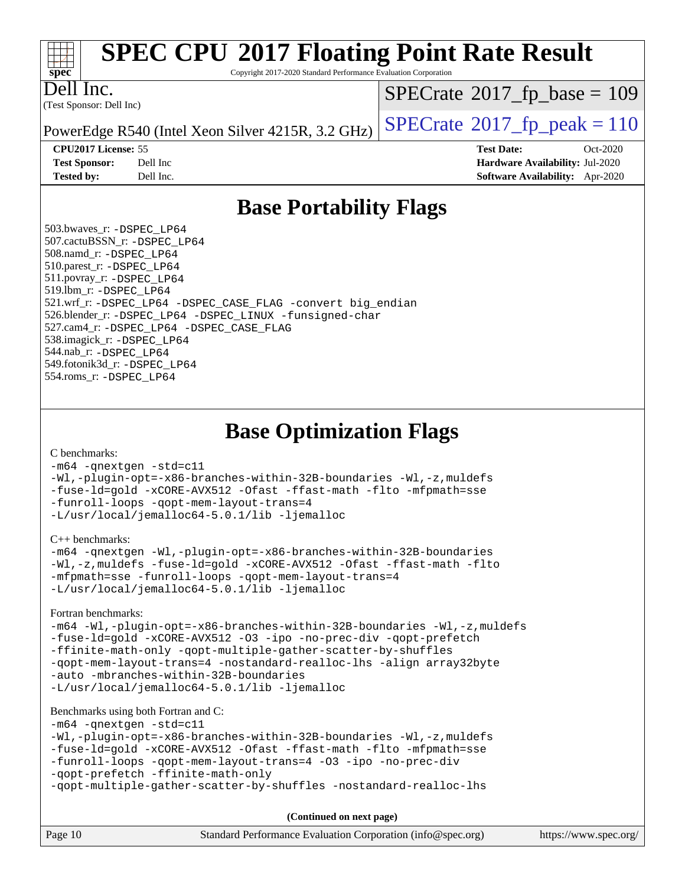

Copyright 2017-2020 Standard Performance Evaluation Corporation

Dell Inc.

(Test Sponsor: Dell Inc)

 $SPECTate$ <sup>®</sup>[2017\\_fp\\_base =](http://www.spec.org/auto/cpu2017/Docs/result-fields.html#SPECrate2017fpbase) 109

PowerEdge R540 (Intel Xeon Silver 4215R, 3.2 GHz)  $\left|$  [SPECrate](http://www.spec.org/auto/cpu2017/Docs/result-fields.html#SPECrate2017fppeak)<sup>®</sup>[2017\\_fp\\_peak = 1](http://www.spec.org/auto/cpu2017/Docs/result-fields.html#SPECrate2017fppeak)10

#### **[CPU2017 License:](http://www.spec.org/auto/cpu2017/Docs/result-fields.html#CPU2017License)** 55 **[Test Date:](http://www.spec.org/auto/cpu2017/Docs/result-fields.html#TestDate)** Oct-2020

**[Test Sponsor:](http://www.spec.org/auto/cpu2017/Docs/result-fields.html#TestSponsor)** Dell Inc **[Hardware Availability:](http://www.spec.org/auto/cpu2017/Docs/result-fields.html#HardwareAvailability)** Jul-2020 **[Tested by:](http://www.spec.org/auto/cpu2017/Docs/result-fields.html#Testedby)** Dell Inc. **[Software Availability:](http://www.spec.org/auto/cpu2017/Docs/result-fields.html#SoftwareAvailability)** Apr-2020

### **[Base Portability Flags](http://www.spec.org/auto/cpu2017/Docs/result-fields.html#BasePortabilityFlags)**

 503.bwaves\_r: [-DSPEC\\_LP64](http://www.spec.org/cpu2017/results/res2020q4/cpu2017-20201020-24224.flags.html#suite_basePORTABILITY503_bwaves_r_DSPEC_LP64) 507.cactuBSSN\_r: [-DSPEC\\_LP64](http://www.spec.org/cpu2017/results/res2020q4/cpu2017-20201020-24224.flags.html#suite_basePORTABILITY507_cactuBSSN_r_DSPEC_LP64) 508.namd\_r: [-DSPEC\\_LP64](http://www.spec.org/cpu2017/results/res2020q4/cpu2017-20201020-24224.flags.html#suite_basePORTABILITY508_namd_r_DSPEC_LP64) 510.parest\_r: [-DSPEC\\_LP64](http://www.spec.org/cpu2017/results/res2020q4/cpu2017-20201020-24224.flags.html#suite_basePORTABILITY510_parest_r_DSPEC_LP64) 511.povray\_r: [-DSPEC\\_LP64](http://www.spec.org/cpu2017/results/res2020q4/cpu2017-20201020-24224.flags.html#suite_basePORTABILITY511_povray_r_DSPEC_LP64) 519.lbm\_r: [-DSPEC\\_LP64](http://www.spec.org/cpu2017/results/res2020q4/cpu2017-20201020-24224.flags.html#suite_basePORTABILITY519_lbm_r_DSPEC_LP64) 521.wrf\_r: [-DSPEC\\_LP64](http://www.spec.org/cpu2017/results/res2020q4/cpu2017-20201020-24224.flags.html#suite_basePORTABILITY521_wrf_r_DSPEC_LP64) [-DSPEC\\_CASE\\_FLAG](http://www.spec.org/cpu2017/results/res2020q4/cpu2017-20201020-24224.flags.html#b521.wrf_r_baseCPORTABILITY_DSPEC_CASE_FLAG) [-convert big\\_endian](http://www.spec.org/cpu2017/results/res2020q4/cpu2017-20201020-24224.flags.html#user_baseFPORTABILITY521_wrf_r_convert_big_endian_c3194028bc08c63ac5d04de18c48ce6d347e4e562e8892b8bdbdc0214820426deb8554edfa529a3fb25a586e65a3d812c835984020483e7e73212c4d31a38223) 526.blender\_r: [-DSPEC\\_LP64](http://www.spec.org/cpu2017/results/res2020q4/cpu2017-20201020-24224.flags.html#suite_basePORTABILITY526_blender_r_DSPEC_LP64) [-DSPEC\\_LINUX](http://www.spec.org/cpu2017/results/res2020q4/cpu2017-20201020-24224.flags.html#b526.blender_r_baseCPORTABILITY_DSPEC_LINUX) [-funsigned-char](http://www.spec.org/cpu2017/results/res2020q4/cpu2017-20201020-24224.flags.html#user_baseCPORTABILITY526_blender_r_force_uchar_40c60f00ab013830e2dd6774aeded3ff59883ba5a1fc5fc14077f794d777847726e2a5858cbc7672e36e1b067e7e5c1d9a74f7176df07886a243d7cc18edfe67) 527.cam4\_r: [-DSPEC\\_LP64](http://www.spec.org/cpu2017/results/res2020q4/cpu2017-20201020-24224.flags.html#suite_basePORTABILITY527_cam4_r_DSPEC_LP64) [-DSPEC\\_CASE\\_FLAG](http://www.spec.org/cpu2017/results/res2020q4/cpu2017-20201020-24224.flags.html#b527.cam4_r_baseCPORTABILITY_DSPEC_CASE_FLAG) 538.imagick\_r: [-DSPEC\\_LP64](http://www.spec.org/cpu2017/results/res2020q4/cpu2017-20201020-24224.flags.html#suite_basePORTABILITY538_imagick_r_DSPEC_LP64) 544.nab\_r: [-DSPEC\\_LP64](http://www.spec.org/cpu2017/results/res2020q4/cpu2017-20201020-24224.flags.html#suite_basePORTABILITY544_nab_r_DSPEC_LP64) 549.fotonik3d\_r: [-DSPEC\\_LP64](http://www.spec.org/cpu2017/results/res2020q4/cpu2017-20201020-24224.flags.html#suite_basePORTABILITY549_fotonik3d_r_DSPEC_LP64) 554.roms\_r: [-DSPEC\\_LP64](http://www.spec.org/cpu2017/results/res2020q4/cpu2017-20201020-24224.flags.html#suite_basePORTABILITY554_roms_r_DSPEC_LP64)

**[Base Optimization Flags](http://www.spec.org/auto/cpu2017/Docs/result-fields.html#BaseOptimizationFlags)**

#### [C benchmarks](http://www.spec.org/auto/cpu2017/Docs/result-fields.html#Cbenchmarks):

[-m64](http://www.spec.org/cpu2017/results/res2020q4/cpu2017-20201020-24224.flags.html#user_CCbase_m64-icc) [-qnextgen](http://www.spec.org/cpu2017/results/res2020q4/cpu2017-20201020-24224.flags.html#user_CCbase_f-qnextgen) [-std=c11](http://www.spec.org/cpu2017/results/res2020q4/cpu2017-20201020-24224.flags.html#user_CCbase_std-icc-std_0e1c27790398a4642dfca32ffe6c27b5796f9c2d2676156f2e42c9c44eaad0c049b1cdb667a270c34d979996257aeb8fc440bfb01818dbc9357bd9d174cb8524) [-Wl,-plugin-opt=-x86-branches-within-32B-boundaries](http://www.spec.org/cpu2017/results/res2020q4/cpu2017-20201020-24224.flags.html#user_CCbase_f-x86-branches-within-32B-boundaries_0098b4e4317ae60947b7b728078a624952a08ac37a3c797dfb4ffeb399e0c61a9dd0f2f44ce917e9361fb9076ccb15e7824594512dd315205382d84209e912f3) [-Wl,-z,muldefs](http://www.spec.org/cpu2017/results/res2020q4/cpu2017-20201020-24224.flags.html#user_CCbase_link_force_multiple1_b4cbdb97b34bdee9ceefcfe54f4c8ea74255f0b02a4b23e853cdb0e18eb4525ac79b5a88067c842dd0ee6996c24547a27a4b99331201badda8798ef8a743f577) [-fuse-ld=gold](http://www.spec.org/cpu2017/results/res2020q4/cpu2017-20201020-24224.flags.html#user_CCbase_f-fuse-ld_920b3586e2b8c6e0748b9c84fa9b744736ba725a32cab14ad8f3d4ad28eecb2f59d1144823d2e17006539a88734fe1fc08fc3035f7676166309105a78aaabc32) [-xCORE-AVX512](http://www.spec.org/cpu2017/results/res2020q4/cpu2017-20201020-24224.flags.html#user_CCbase_f-xCORE-AVX512) [-Ofast](http://www.spec.org/cpu2017/results/res2020q4/cpu2017-20201020-24224.flags.html#user_CCbase_f-Ofast) [-ffast-math](http://www.spec.org/cpu2017/results/res2020q4/cpu2017-20201020-24224.flags.html#user_CCbase_f-ffast-math) [-flto](http://www.spec.org/cpu2017/results/res2020q4/cpu2017-20201020-24224.flags.html#user_CCbase_f-flto) [-mfpmath=sse](http://www.spec.org/cpu2017/results/res2020q4/cpu2017-20201020-24224.flags.html#user_CCbase_f-mfpmath_70eb8fac26bde974f8ab713bc9086c5621c0b8d2f6c86f38af0bd7062540daf19db5f3a066d8c6684be05d84c9b6322eb3b5be6619d967835195b93d6c02afa1) [-funroll-loops](http://www.spec.org/cpu2017/results/res2020q4/cpu2017-20201020-24224.flags.html#user_CCbase_f-funroll-loops) [-qopt-mem-layout-trans=4](http://www.spec.org/cpu2017/results/res2020q4/cpu2017-20201020-24224.flags.html#user_CCbase_f-qopt-mem-layout-trans_fa39e755916c150a61361b7846f310bcdf6f04e385ef281cadf3647acec3f0ae266d1a1d22d972a7087a248fd4e6ca390a3634700869573d231a252c784941a8) [-L/usr/local/jemalloc64-5.0.1/lib](http://www.spec.org/cpu2017/results/res2020q4/cpu2017-20201020-24224.flags.html#user_CCbase_jemalloc_link_path64_1_cc289568b1a6c0fd3b62c91b824c27fcb5af5e8098e6ad028160d21144ef1b8aef3170d2acf0bee98a8da324cfe4f67d0a3d0c4cc4673d993d694dc2a0df248b) [-ljemalloc](http://www.spec.org/cpu2017/results/res2020q4/cpu2017-20201020-24224.flags.html#user_CCbase_jemalloc_link_lib_d1249b907c500fa1c0672f44f562e3d0f79738ae9e3c4a9c376d49f265a04b9c99b167ecedbf6711b3085be911c67ff61f150a17b3472be731631ba4d0471706)

[C++ benchmarks:](http://www.spec.org/auto/cpu2017/Docs/result-fields.html#CXXbenchmarks)

[-m64](http://www.spec.org/cpu2017/results/res2020q4/cpu2017-20201020-24224.flags.html#user_CXXbase_m64-icc) [-qnextgen](http://www.spec.org/cpu2017/results/res2020q4/cpu2017-20201020-24224.flags.html#user_CXXbase_f-qnextgen) [-Wl,-plugin-opt=-x86-branches-within-32B-boundaries](http://www.spec.org/cpu2017/results/res2020q4/cpu2017-20201020-24224.flags.html#user_CXXbase_f-x86-branches-within-32B-boundaries_0098b4e4317ae60947b7b728078a624952a08ac37a3c797dfb4ffeb399e0c61a9dd0f2f44ce917e9361fb9076ccb15e7824594512dd315205382d84209e912f3) [-Wl,-z,muldefs](http://www.spec.org/cpu2017/results/res2020q4/cpu2017-20201020-24224.flags.html#user_CXXbase_link_force_multiple1_b4cbdb97b34bdee9ceefcfe54f4c8ea74255f0b02a4b23e853cdb0e18eb4525ac79b5a88067c842dd0ee6996c24547a27a4b99331201badda8798ef8a743f577) [-fuse-ld=gold](http://www.spec.org/cpu2017/results/res2020q4/cpu2017-20201020-24224.flags.html#user_CXXbase_f-fuse-ld_920b3586e2b8c6e0748b9c84fa9b744736ba725a32cab14ad8f3d4ad28eecb2f59d1144823d2e17006539a88734fe1fc08fc3035f7676166309105a78aaabc32) [-xCORE-AVX512](http://www.spec.org/cpu2017/results/res2020q4/cpu2017-20201020-24224.flags.html#user_CXXbase_f-xCORE-AVX512) [-Ofast](http://www.spec.org/cpu2017/results/res2020q4/cpu2017-20201020-24224.flags.html#user_CXXbase_f-Ofast) [-ffast-math](http://www.spec.org/cpu2017/results/res2020q4/cpu2017-20201020-24224.flags.html#user_CXXbase_f-ffast-math) [-flto](http://www.spec.org/cpu2017/results/res2020q4/cpu2017-20201020-24224.flags.html#user_CXXbase_f-flto) [-mfpmath=sse](http://www.spec.org/cpu2017/results/res2020q4/cpu2017-20201020-24224.flags.html#user_CXXbase_f-mfpmath_70eb8fac26bde974f8ab713bc9086c5621c0b8d2f6c86f38af0bd7062540daf19db5f3a066d8c6684be05d84c9b6322eb3b5be6619d967835195b93d6c02afa1) [-funroll-loops](http://www.spec.org/cpu2017/results/res2020q4/cpu2017-20201020-24224.flags.html#user_CXXbase_f-funroll-loops) [-qopt-mem-layout-trans=4](http://www.spec.org/cpu2017/results/res2020q4/cpu2017-20201020-24224.flags.html#user_CXXbase_f-qopt-mem-layout-trans_fa39e755916c150a61361b7846f310bcdf6f04e385ef281cadf3647acec3f0ae266d1a1d22d972a7087a248fd4e6ca390a3634700869573d231a252c784941a8) [-L/usr/local/jemalloc64-5.0.1/lib](http://www.spec.org/cpu2017/results/res2020q4/cpu2017-20201020-24224.flags.html#user_CXXbase_jemalloc_link_path64_1_cc289568b1a6c0fd3b62c91b824c27fcb5af5e8098e6ad028160d21144ef1b8aef3170d2acf0bee98a8da324cfe4f67d0a3d0c4cc4673d993d694dc2a0df248b) [-ljemalloc](http://www.spec.org/cpu2017/results/res2020q4/cpu2017-20201020-24224.flags.html#user_CXXbase_jemalloc_link_lib_d1249b907c500fa1c0672f44f562e3d0f79738ae9e3c4a9c376d49f265a04b9c99b167ecedbf6711b3085be911c67ff61f150a17b3472be731631ba4d0471706)

[Fortran benchmarks](http://www.spec.org/auto/cpu2017/Docs/result-fields.html#Fortranbenchmarks):

[-m64](http://www.spec.org/cpu2017/results/res2020q4/cpu2017-20201020-24224.flags.html#user_FCbase_m64-icc) [-Wl,-plugin-opt=-x86-branches-within-32B-boundaries](http://www.spec.org/cpu2017/results/res2020q4/cpu2017-20201020-24224.flags.html#user_FCbase_f-x86-branches-within-32B-boundaries_0098b4e4317ae60947b7b728078a624952a08ac37a3c797dfb4ffeb399e0c61a9dd0f2f44ce917e9361fb9076ccb15e7824594512dd315205382d84209e912f3) [-Wl,-z,muldefs](http://www.spec.org/cpu2017/results/res2020q4/cpu2017-20201020-24224.flags.html#user_FCbase_link_force_multiple1_b4cbdb97b34bdee9ceefcfe54f4c8ea74255f0b02a4b23e853cdb0e18eb4525ac79b5a88067c842dd0ee6996c24547a27a4b99331201badda8798ef8a743f577) [-fuse-ld=gold](http://www.spec.org/cpu2017/results/res2020q4/cpu2017-20201020-24224.flags.html#user_FCbase_f-fuse-ld_920b3586e2b8c6e0748b9c84fa9b744736ba725a32cab14ad8f3d4ad28eecb2f59d1144823d2e17006539a88734fe1fc08fc3035f7676166309105a78aaabc32) [-xCORE-AVX512](http://www.spec.org/cpu2017/results/res2020q4/cpu2017-20201020-24224.flags.html#user_FCbase_f-xCORE-AVX512) [-O3](http://www.spec.org/cpu2017/results/res2020q4/cpu2017-20201020-24224.flags.html#user_FCbase_f-O3) [-ipo](http://www.spec.org/cpu2017/results/res2020q4/cpu2017-20201020-24224.flags.html#user_FCbase_f-ipo) [-no-prec-div](http://www.spec.org/cpu2017/results/res2020q4/cpu2017-20201020-24224.flags.html#user_FCbase_f-no-prec-div) [-qopt-prefetch](http://www.spec.org/cpu2017/results/res2020q4/cpu2017-20201020-24224.flags.html#user_FCbase_f-qopt-prefetch) [-ffinite-math-only](http://www.spec.org/cpu2017/results/res2020q4/cpu2017-20201020-24224.flags.html#user_FCbase_f_finite_math_only_cb91587bd2077682c4b38af759c288ed7c732db004271a9512da14a4f8007909a5f1427ecbf1a0fb78ff2a814402c6114ac565ca162485bbcae155b5e4258871) [-qopt-multiple-gather-scatter-by-shuffles](http://www.spec.org/cpu2017/results/res2020q4/cpu2017-20201020-24224.flags.html#user_FCbase_f-qopt-multiple-gather-scatter-by-shuffles) [-qopt-mem-layout-trans=4](http://www.spec.org/cpu2017/results/res2020q4/cpu2017-20201020-24224.flags.html#user_FCbase_f-qopt-mem-layout-trans_fa39e755916c150a61361b7846f310bcdf6f04e385ef281cadf3647acec3f0ae266d1a1d22d972a7087a248fd4e6ca390a3634700869573d231a252c784941a8) [-nostandard-realloc-lhs](http://www.spec.org/cpu2017/results/res2020q4/cpu2017-20201020-24224.flags.html#user_FCbase_f_2003_std_realloc_82b4557e90729c0f113870c07e44d33d6f5a304b4f63d4c15d2d0f1fab99f5daaed73bdb9275d9ae411527f28b936061aa8b9c8f2d63842963b95c9dd6426b8a) [-align array32byte](http://www.spec.org/cpu2017/results/res2020q4/cpu2017-20201020-24224.flags.html#user_FCbase_align_array32byte_b982fe038af199962ba9a80c053b8342c548c85b40b8e86eb3cc33dee0d7986a4af373ac2d51c3f7cf710a18d62fdce2948f201cd044323541f22fc0fffc51b6) [-auto](http://www.spec.org/cpu2017/results/res2020q4/cpu2017-20201020-24224.flags.html#user_FCbase_f-auto) [-mbranches-within-32B-boundaries](http://www.spec.org/cpu2017/results/res2020q4/cpu2017-20201020-24224.flags.html#user_FCbase_f-mbranches-within-32B-boundaries) [-L/usr/local/jemalloc64-5.0.1/lib](http://www.spec.org/cpu2017/results/res2020q4/cpu2017-20201020-24224.flags.html#user_FCbase_jemalloc_link_path64_1_cc289568b1a6c0fd3b62c91b824c27fcb5af5e8098e6ad028160d21144ef1b8aef3170d2acf0bee98a8da324cfe4f67d0a3d0c4cc4673d993d694dc2a0df248b) [-ljemalloc](http://www.spec.org/cpu2017/results/res2020q4/cpu2017-20201020-24224.flags.html#user_FCbase_jemalloc_link_lib_d1249b907c500fa1c0672f44f562e3d0f79738ae9e3c4a9c376d49f265a04b9c99b167ecedbf6711b3085be911c67ff61f150a17b3472be731631ba4d0471706)

[Benchmarks using both Fortran and C](http://www.spec.org/auto/cpu2017/Docs/result-fields.html#BenchmarksusingbothFortranandC):

```
-m64 -qnextgen -std=c11
-Wl,-plugin-opt=-x86-branches-within-32B-boundaries -Wl,-z,muldefs
-fuse-ld=gold -xCORE-AVX512 -Ofast -ffast-math -flto -mfpmath=sse
-funroll-loops -qopt-mem-layout-trans=4 -O3 -ipo -no-prec-div
-qopt-prefetch -ffinite-math-only
-qopt-multiple-gather-scatter-by-shuffles -nostandard-realloc-lhs
```
Page 10 Standard Performance Evaluation Corporation [\(info@spec.org\)](mailto:info@spec.org) <https://www.spec.org/> **(Continued on next page)**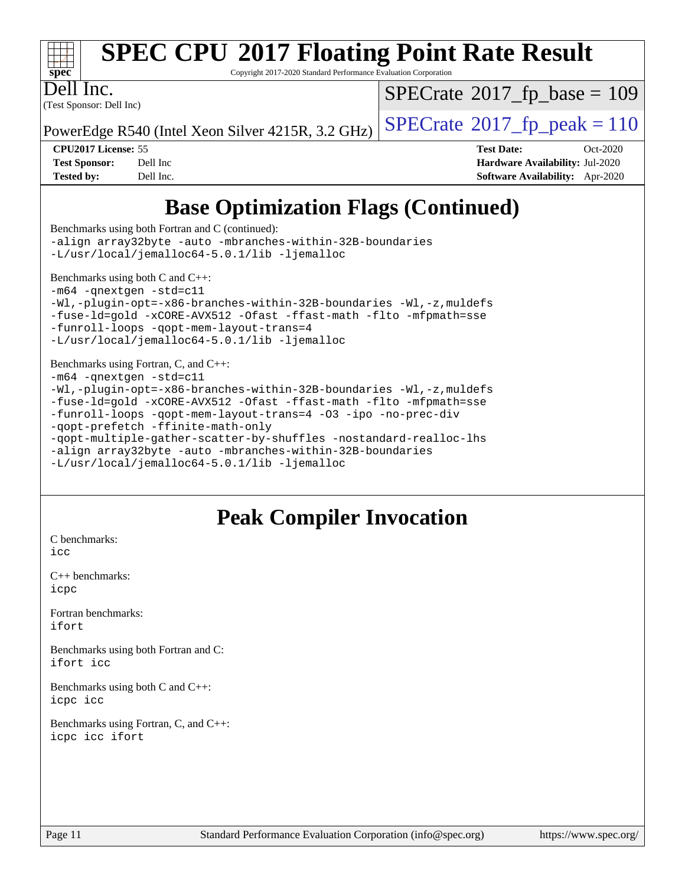

Copyright 2017-2020 Standard Performance Evaluation Corporation

Dell Inc.

(Test Sponsor: Dell Inc)

 $SPECTate$ <sup>®</sup>[2017\\_fp\\_base =](http://www.spec.org/auto/cpu2017/Docs/result-fields.html#SPECrate2017fpbase) 109

PowerEdge R540 (Intel Xeon Silver 4215R, 3.2 GHz)  $\left|$  [SPECrate](http://www.spec.org/auto/cpu2017/Docs/result-fields.html#SPECrate2017fppeak)<sup>®</sup>[2017\\_fp\\_peak = 1](http://www.spec.org/auto/cpu2017/Docs/result-fields.html#SPECrate2017fppeak)10

**[Test Sponsor:](http://www.spec.org/auto/cpu2017/Docs/result-fields.html#TestSponsor)** Dell Inc **[Hardware Availability:](http://www.spec.org/auto/cpu2017/Docs/result-fields.html#HardwareAvailability)** Jul-2020 **[Tested by:](http://www.spec.org/auto/cpu2017/Docs/result-fields.html#Testedby)** Dell Inc. **[Software Availability:](http://www.spec.org/auto/cpu2017/Docs/result-fields.html#SoftwareAvailability)** Apr-2020

**[CPU2017 License:](http://www.spec.org/auto/cpu2017/Docs/result-fields.html#CPU2017License)** 55 **[Test Date:](http://www.spec.org/auto/cpu2017/Docs/result-fields.html#TestDate)** Oct-2020

**[Base Optimization Flags \(Continued\)](http://www.spec.org/auto/cpu2017/Docs/result-fields.html#BaseOptimizationFlags)**

[Benchmarks using both Fortran and C](http://www.spec.org/auto/cpu2017/Docs/result-fields.html#BenchmarksusingbothFortranandC) (continued): [-align array32byte](http://www.spec.org/cpu2017/results/res2020q4/cpu2017-20201020-24224.flags.html#user_CC_FCbase_align_array32byte_b982fe038af199962ba9a80c053b8342c548c85b40b8e86eb3cc33dee0d7986a4af373ac2d51c3f7cf710a18d62fdce2948f201cd044323541f22fc0fffc51b6) [-auto](http://www.spec.org/cpu2017/results/res2020q4/cpu2017-20201020-24224.flags.html#user_CC_FCbase_f-auto) [-mbranches-within-32B-boundaries](http://www.spec.org/cpu2017/results/res2020q4/cpu2017-20201020-24224.flags.html#user_CC_FCbase_f-mbranches-within-32B-boundaries) [-L/usr/local/jemalloc64-5.0.1/lib](http://www.spec.org/cpu2017/results/res2020q4/cpu2017-20201020-24224.flags.html#user_CC_FCbase_jemalloc_link_path64_1_cc289568b1a6c0fd3b62c91b824c27fcb5af5e8098e6ad028160d21144ef1b8aef3170d2acf0bee98a8da324cfe4f67d0a3d0c4cc4673d993d694dc2a0df248b) [-ljemalloc](http://www.spec.org/cpu2017/results/res2020q4/cpu2017-20201020-24224.flags.html#user_CC_FCbase_jemalloc_link_lib_d1249b907c500fa1c0672f44f562e3d0f79738ae9e3c4a9c376d49f265a04b9c99b167ecedbf6711b3085be911c67ff61f150a17b3472be731631ba4d0471706) [Benchmarks using both C and C++](http://www.spec.org/auto/cpu2017/Docs/result-fields.html#BenchmarksusingbothCandCXX): [-m64](http://www.spec.org/cpu2017/results/res2020q4/cpu2017-20201020-24224.flags.html#user_CC_CXXbase_m64-icc) [-qnextgen](http://www.spec.org/cpu2017/results/res2020q4/cpu2017-20201020-24224.flags.html#user_CC_CXXbase_f-qnextgen) [-std=c11](http://www.spec.org/cpu2017/results/res2020q4/cpu2017-20201020-24224.flags.html#user_CC_CXXbase_std-icc-std_0e1c27790398a4642dfca32ffe6c27b5796f9c2d2676156f2e42c9c44eaad0c049b1cdb667a270c34d979996257aeb8fc440bfb01818dbc9357bd9d174cb8524) [-Wl,-plugin-opt=-x86-branches-within-32B-boundaries](http://www.spec.org/cpu2017/results/res2020q4/cpu2017-20201020-24224.flags.html#user_CC_CXXbase_f-x86-branches-within-32B-boundaries_0098b4e4317ae60947b7b728078a624952a08ac37a3c797dfb4ffeb399e0c61a9dd0f2f44ce917e9361fb9076ccb15e7824594512dd315205382d84209e912f3) [-Wl,-z,muldefs](http://www.spec.org/cpu2017/results/res2020q4/cpu2017-20201020-24224.flags.html#user_CC_CXXbase_link_force_multiple1_b4cbdb97b34bdee9ceefcfe54f4c8ea74255f0b02a4b23e853cdb0e18eb4525ac79b5a88067c842dd0ee6996c24547a27a4b99331201badda8798ef8a743f577) [-fuse-ld=gold](http://www.spec.org/cpu2017/results/res2020q4/cpu2017-20201020-24224.flags.html#user_CC_CXXbase_f-fuse-ld_920b3586e2b8c6e0748b9c84fa9b744736ba725a32cab14ad8f3d4ad28eecb2f59d1144823d2e17006539a88734fe1fc08fc3035f7676166309105a78aaabc32) [-xCORE-AVX512](http://www.spec.org/cpu2017/results/res2020q4/cpu2017-20201020-24224.flags.html#user_CC_CXXbase_f-xCORE-AVX512) [-Ofast](http://www.spec.org/cpu2017/results/res2020q4/cpu2017-20201020-24224.flags.html#user_CC_CXXbase_f-Ofast) [-ffast-math](http://www.spec.org/cpu2017/results/res2020q4/cpu2017-20201020-24224.flags.html#user_CC_CXXbase_f-ffast-math) [-flto](http://www.spec.org/cpu2017/results/res2020q4/cpu2017-20201020-24224.flags.html#user_CC_CXXbase_f-flto) [-mfpmath=sse](http://www.spec.org/cpu2017/results/res2020q4/cpu2017-20201020-24224.flags.html#user_CC_CXXbase_f-mfpmath_70eb8fac26bde974f8ab713bc9086c5621c0b8d2f6c86f38af0bd7062540daf19db5f3a066d8c6684be05d84c9b6322eb3b5be6619d967835195b93d6c02afa1) [-funroll-loops](http://www.spec.org/cpu2017/results/res2020q4/cpu2017-20201020-24224.flags.html#user_CC_CXXbase_f-funroll-loops) [-qopt-mem-layout-trans=4](http://www.spec.org/cpu2017/results/res2020q4/cpu2017-20201020-24224.flags.html#user_CC_CXXbase_f-qopt-mem-layout-trans_fa39e755916c150a61361b7846f310bcdf6f04e385ef281cadf3647acec3f0ae266d1a1d22d972a7087a248fd4e6ca390a3634700869573d231a252c784941a8) [-L/usr/local/jemalloc64-5.0.1/lib](http://www.spec.org/cpu2017/results/res2020q4/cpu2017-20201020-24224.flags.html#user_CC_CXXbase_jemalloc_link_path64_1_cc289568b1a6c0fd3b62c91b824c27fcb5af5e8098e6ad028160d21144ef1b8aef3170d2acf0bee98a8da324cfe4f67d0a3d0c4cc4673d993d694dc2a0df248b) [-ljemalloc](http://www.spec.org/cpu2017/results/res2020q4/cpu2017-20201020-24224.flags.html#user_CC_CXXbase_jemalloc_link_lib_d1249b907c500fa1c0672f44f562e3d0f79738ae9e3c4a9c376d49f265a04b9c99b167ecedbf6711b3085be911c67ff61f150a17b3472be731631ba4d0471706) [Benchmarks using Fortran, C, and C++:](http://www.spec.org/auto/cpu2017/Docs/result-fields.html#BenchmarksusingFortranCandCXX) [-m64](http://www.spec.org/cpu2017/results/res2020q4/cpu2017-20201020-24224.flags.html#user_CC_CXX_FCbase_m64-icc) [-qnextgen](http://www.spec.org/cpu2017/results/res2020q4/cpu2017-20201020-24224.flags.html#user_CC_CXX_FCbase_f-qnextgen) [-std=c11](http://www.spec.org/cpu2017/results/res2020q4/cpu2017-20201020-24224.flags.html#user_CC_CXX_FCbase_std-icc-std_0e1c27790398a4642dfca32ffe6c27b5796f9c2d2676156f2e42c9c44eaad0c049b1cdb667a270c34d979996257aeb8fc440bfb01818dbc9357bd9d174cb8524)

[-Wl,-plugin-opt=-x86-branches-within-32B-boundaries](http://www.spec.org/cpu2017/results/res2020q4/cpu2017-20201020-24224.flags.html#user_CC_CXX_FCbase_f-x86-branches-within-32B-boundaries_0098b4e4317ae60947b7b728078a624952a08ac37a3c797dfb4ffeb399e0c61a9dd0f2f44ce917e9361fb9076ccb15e7824594512dd315205382d84209e912f3) [-Wl,-z,muldefs](http://www.spec.org/cpu2017/results/res2020q4/cpu2017-20201020-24224.flags.html#user_CC_CXX_FCbase_link_force_multiple1_b4cbdb97b34bdee9ceefcfe54f4c8ea74255f0b02a4b23e853cdb0e18eb4525ac79b5a88067c842dd0ee6996c24547a27a4b99331201badda8798ef8a743f577) [-fuse-ld=gold](http://www.spec.org/cpu2017/results/res2020q4/cpu2017-20201020-24224.flags.html#user_CC_CXX_FCbase_f-fuse-ld_920b3586e2b8c6e0748b9c84fa9b744736ba725a32cab14ad8f3d4ad28eecb2f59d1144823d2e17006539a88734fe1fc08fc3035f7676166309105a78aaabc32) [-xCORE-AVX512](http://www.spec.org/cpu2017/results/res2020q4/cpu2017-20201020-24224.flags.html#user_CC_CXX_FCbase_f-xCORE-AVX512) [-Ofast](http://www.spec.org/cpu2017/results/res2020q4/cpu2017-20201020-24224.flags.html#user_CC_CXX_FCbase_f-Ofast) [-ffast-math](http://www.spec.org/cpu2017/results/res2020q4/cpu2017-20201020-24224.flags.html#user_CC_CXX_FCbase_f-ffast-math) [-flto](http://www.spec.org/cpu2017/results/res2020q4/cpu2017-20201020-24224.flags.html#user_CC_CXX_FCbase_f-flto) [-mfpmath=sse](http://www.spec.org/cpu2017/results/res2020q4/cpu2017-20201020-24224.flags.html#user_CC_CXX_FCbase_f-mfpmath_70eb8fac26bde974f8ab713bc9086c5621c0b8d2f6c86f38af0bd7062540daf19db5f3a066d8c6684be05d84c9b6322eb3b5be6619d967835195b93d6c02afa1) [-funroll-loops](http://www.spec.org/cpu2017/results/res2020q4/cpu2017-20201020-24224.flags.html#user_CC_CXX_FCbase_f-funroll-loops) [-qopt-mem-layout-trans=4](http://www.spec.org/cpu2017/results/res2020q4/cpu2017-20201020-24224.flags.html#user_CC_CXX_FCbase_f-qopt-mem-layout-trans_fa39e755916c150a61361b7846f310bcdf6f04e385ef281cadf3647acec3f0ae266d1a1d22d972a7087a248fd4e6ca390a3634700869573d231a252c784941a8) [-O3](http://www.spec.org/cpu2017/results/res2020q4/cpu2017-20201020-24224.flags.html#user_CC_CXX_FCbase_f-O3) [-ipo](http://www.spec.org/cpu2017/results/res2020q4/cpu2017-20201020-24224.flags.html#user_CC_CXX_FCbase_f-ipo) [-no-prec-div](http://www.spec.org/cpu2017/results/res2020q4/cpu2017-20201020-24224.flags.html#user_CC_CXX_FCbase_f-no-prec-div) [-qopt-prefetch](http://www.spec.org/cpu2017/results/res2020q4/cpu2017-20201020-24224.flags.html#user_CC_CXX_FCbase_f-qopt-prefetch) [-ffinite-math-only](http://www.spec.org/cpu2017/results/res2020q4/cpu2017-20201020-24224.flags.html#user_CC_CXX_FCbase_f_finite_math_only_cb91587bd2077682c4b38af759c288ed7c732db004271a9512da14a4f8007909a5f1427ecbf1a0fb78ff2a814402c6114ac565ca162485bbcae155b5e4258871) [-qopt-multiple-gather-scatter-by-shuffles](http://www.spec.org/cpu2017/results/res2020q4/cpu2017-20201020-24224.flags.html#user_CC_CXX_FCbase_f-qopt-multiple-gather-scatter-by-shuffles) [-nostandard-realloc-lhs](http://www.spec.org/cpu2017/results/res2020q4/cpu2017-20201020-24224.flags.html#user_CC_CXX_FCbase_f_2003_std_realloc_82b4557e90729c0f113870c07e44d33d6f5a304b4f63d4c15d2d0f1fab99f5daaed73bdb9275d9ae411527f28b936061aa8b9c8f2d63842963b95c9dd6426b8a) [-align array32byte](http://www.spec.org/cpu2017/results/res2020q4/cpu2017-20201020-24224.flags.html#user_CC_CXX_FCbase_align_array32byte_b982fe038af199962ba9a80c053b8342c548c85b40b8e86eb3cc33dee0d7986a4af373ac2d51c3f7cf710a18d62fdce2948f201cd044323541f22fc0fffc51b6) [-auto](http://www.spec.org/cpu2017/results/res2020q4/cpu2017-20201020-24224.flags.html#user_CC_CXX_FCbase_f-auto) [-mbranches-within-32B-boundaries](http://www.spec.org/cpu2017/results/res2020q4/cpu2017-20201020-24224.flags.html#user_CC_CXX_FCbase_f-mbranches-within-32B-boundaries) [-L/usr/local/jemalloc64-5.0.1/lib](http://www.spec.org/cpu2017/results/res2020q4/cpu2017-20201020-24224.flags.html#user_CC_CXX_FCbase_jemalloc_link_path64_1_cc289568b1a6c0fd3b62c91b824c27fcb5af5e8098e6ad028160d21144ef1b8aef3170d2acf0bee98a8da324cfe4f67d0a3d0c4cc4673d993d694dc2a0df248b) [-ljemalloc](http://www.spec.org/cpu2017/results/res2020q4/cpu2017-20201020-24224.flags.html#user_CC_CXX_FCbase_jemalloc_link_lib_d1249b907c500fa1c0672f44f562e3d0f79738ae9e3c4a9c376d49f265a04b9c99b167ecedbf6711b3085be911c67ff61f150a17b3472be731631ba4d0471706)

## **[Peak Compiler Invocation](http://www.spec.org/auto/cpu2017/Docs/result-fields.html#PeakCompilerInvocation)**

[C benchmarks](http://www.spec.org/auto/cpu2017/Docs/result-fields.html#Cbenchmarks): [icc](http://www.spec.org/cpu2017/results/res2020q4/cpu2017-20201020-24224.flags.html#user_CCpeak_intel_icc_66fc1ee009f7361af1fbd72ca7dcefbb700085f36577c54f309893dd4ec40d12360134090235512931783d35fd58c0460139e722d5067c5574d8eaf2b3e37e92)

[C++ benchmarks:](http://www.spec.org/auto/cpu2017/Docs/result-fields.html#CXXbenchmarks) [icpc](http://www.spec.org/cpu2017/results/res2020q4/cpu2017-20201020-24224.flags.html#user_CXXpeak_intel_icpc_c510b6838c7f56d33e37e94d029a35b4a7bccf4766a728ee175e80a419847e808290a9b78be685c44ab727ea267ec2f070ec5dc83b407c0218cded6866a35d07)

[Fortran benchmarks](http://www.spec.org/auto/cpu2017/Docs/result-fields.html#Fortranbenchmarks): [ifort](http://www.spec.org/cpu2017/results/res2020q4/cpu2017-20201020-24224.flags.html#user_FCpeak_intel_ifort_8111460550e3ca792625aed983ce982f94888b8b503583aa7ba2b8303487b4d8a21a13e7191a45c5fd58ff318f48f9492884d4413fa793fd88dd292cad7027ca)

[Benchmarks using both Fortran and C](http://www.spec.org/auto/cpu2017/Docs/result-fields.html#BenchmarksusingbothFortranandC): [ifort](http://www.spec.org/cpu2017/results/res2020q4/cpu2017-20201020-24224.flags.html#user_CC_FCpeak_intel_ifort_8111460550e3ca792625aed983ce982f94888b8b503583aa7ba2b8303487b4d8a21a13e7191a45c5fd58ff318f48f9492884d4413fa793fd88dd292cad7027ca) [icc](http://www.spec.org/cpu2017/results/res2020q4/cpu2017-20201020-24224.flags.html#user_CC_FCpeak_intel_icc_66fc1ee009f7361af1fbd72ca7dcefbb700085f36577c54f309893dd4ec40d12360134090235512931783d35fd58c0460139e722d5067c5574d8eaf2b3e37e92)

[Benchmarks using both C and C++](http://www.spec.org/auto/cpu2017/Docs/result-fields.html#BenchmarksusingbothCandCXX): [icpc](http://www.spec.org/cpu2017/results/res2020q4/cpu2017-20201020-24224.flags.html#user_CC_CXXpeak_intel_icpc_c510b6838c7f56d33e37e94d029a35b4a7bccf4766a728ee175e80a419847e808290a9b78be685c44ab727ea267ec2f070ec5dc83b407c0218cded6866a35d07) [icc](http://www.spec.org/cpu2017/results/res2020q4/cpu2017-20201020-24224.flags.html#user_CC_CXXpeak_intel_icc_66fc1ee009f7361af1fbd72ca7dcefbb700085f36577c54f309893dd4ec40d12360134090235512931783d35fd58c0460139e722d5067c5574d8eaf2b3e37e92)

[Benchmarks using Fortran, C, and C++:](http://www.spec.org/auto/cpu2017/Docs/result-fields.html#BenchmarksusingFortranCandCXX) [icpc](http://www.spec.org/cpu2017/results/res2020q4/cpu2017-20201020-24224.flags.html#user_CC_CXX_FCpeak_intel_icpc_c510b6838c7f56d33e37e94d029a35b4a7bccf4766a728ee175e80a419847e808290a9b78be685c44ab727ea267ec2f070ec5dc83b407c0218cded6866a35d07) [icc](http://www.spec.org/cpu2017/results/res2020q4/cpu2017-20201020-24224.flags.html#user_CC_CXX_FCpeak_intel_icc_66fc1ee009f7361af1fbd72ca7dcefbb700085f36577c54f309893dd4ec40d12360134090235512931783d35fd58c0460139e722d5067c5574d8eaf2b3e37e92) [ifort](http://www.spec.org/cpu2017/results/res2020q4/cpu2017-20201020-24224.flags.html#user_CC_CXX_FCpeak_intel_ifort_8111460550e3ca792625aed983ce982f94888b8b503583aa7ba2b8303487b4d8a21a13e7191a45c5fd58ff318f48f9492884d4413fa793fd88dd292cad7027ca)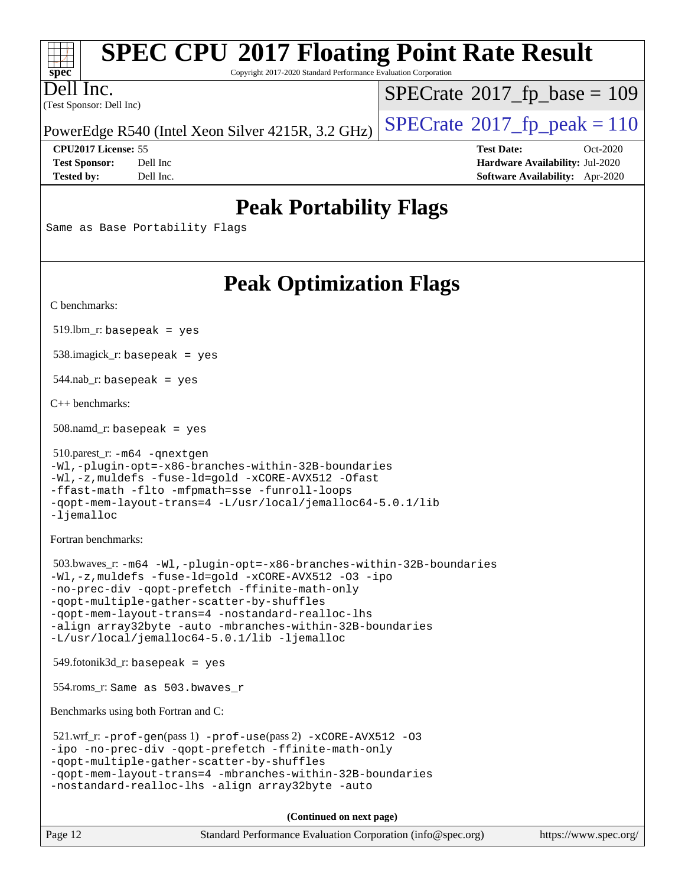| <b>SPEC CPU®2017 Floating Point Rate Result</b><br>$\frac{1}{\text{spec}^*}$          |                                               |
|---------------------------------------------------------------------------------------|-----------------------------------------------|
| Copyright 2017-2020 Standard Performance Evaluation Corporation                       |                                               |
| Dell Inc.<br>(Test Sponsor: Dell Inc)                                                 | $SPECrate^{\circledcirc}2017\_fp\_base = 109$ |
| PowerEdge R540 (Intel Xeon Silver 4215R, 3.2 GHz) $\vert$ SPECrate®2017_fp_peak = 110 |                                               |

**[CPU2017 License:](http://www.spec.org/auto/cpu2017/Docs/result-fields.html#CPU2017License)** 55 **[Test Date:](http://www.spec.org/auto/cpu2017/Docs/result-fields.html#TestDate)** Oct-2020 **[Test Sponsor:](http://www.spec.org/auto/cpu2017/Docs/result-fields.html#TestSponsor)** Dell Inc **[Hardware Availability:](http://www.spec.org/auto/cpu2017/Docs/result-fields.html#HardwareAvailability)** Jul-2020 **[Tested by:](http://www.spec.org/auto/cpu2017/Docs/result-fields.html#Testedby)** Dell Inc. **[Software Availability:](http://www.spec.org/auto/cpu2017/Docs/result-fields.html#SoftwareAvailability)** Apr-2020

### **[Peak Portability Flags](http://www.spec.org/auto/cpu2017/Docs/result-fields.html#PeakPortabilityFlags)**

Same as Base Portability Flags

## **[Peak Optimization Flags](http://www.spec.org/auto/cpu2017/Docs/result-fields.html#PeakOptimizationFlags)**

[C benchmarks](http://www.spec.org/auto/cpu2017/Docs/result-fields.html#Cbenchmarks):

519.lbm\_r: basepeak = yes

538.imagick\_r: basepeak = yes

544.nab\_r: basepeak = yes

[C++ benchmarks:](http://www.spec.org/auto/cpu2017/Docs/result-fields.html#CXXbenchmarks)

508.namd\_r: basepeak = yes

```
 510.parest_r: -m64 -qnextgen
-Wl,-plugin-opt=-x86-branches-within-32B-boundaries
-Wl,-z,muldefs -fuse-ld=gold -xCORE-AVX512 -Ofast
-ffast-math -flto -mfpmath=sse -funroll-loops
-qopt-mem-layout-trans=4 -L/usr/local/jemalloc64-5.0.1/lib
-ljemalloc
```
[Fortran benchmarks](http://www.spec.org/auto/cpu2017/Docs/result-fields.html#Fortranbenchmarks):

```
 503.bwaves_r: -m64 -Wl,-plugin-opt=-x86-branches-within-32B-boundaries
-Wl,-z,muldefs -fuse-ld=gold -xCORE-AVX512 -O3 -ipo
-no-prec-div -qopt-prefetch -ffinite-math-only
-qopt-multiple-gather-scatter-by-shuffles
-qopt-mem-layout-trans=4 -nostandard-realloc-lhs
-align array32byte -auto -mbranches-within-32B-boundaries
-L/usr/local/jemalloc64-5.0.1/lib -ljemalloc
```
549.fotonik3d\_r: basepeak = yes

554.roms\_r: Same as 503.bwaves\_r

[Benchmarks using both Fortran and C](http://www.spec.org/auto/cpu2017/Docs/result-fields.html#BenchmarksusingbothFortranandC):

```
 521.wrf_r: -prof-gen(pass 1) -prof-use(pass 2) -xCORE-AVX512 -O3
-ipo -no-prec-div -qopt-prefetch -ffinite-math-only
-qopt-multiple-gather-scatter-by-shuffles
-qopt-mem-layout-trans=4 -mbranches-within-32B-boundaries
-nostandard-realloc-lhs -align array32byte -auto
```
**(Continued on next page)**